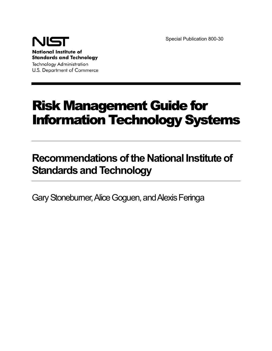NIS **National Institute of** 

**Standards and Technology Technology Administration** U.S. Department of Commerce Special Publication 800-30

# Risk Management Guide for Information Technology Systems

# **Recommendations of the National Institute of Standards and Technology**

Gary Stoneburner, Alice Goguen, and Alexis Feringa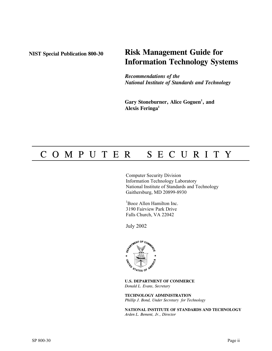# **NIST Special Publication 800-30 Risk Management Guide for Information Technology Systems**

*Recommendations of the National Institute of Standards and Technology* 

**Gary Stoneburner, Alice Goguen<sup>1</sup> , and Alexis Feringa1**

# C O M P U T E R S E C U R I T Y

Computer Security Division Information Technology Laboratory National Institute of Standards and Technology Gaithersburg, MD 20899-8930

1 Booz Allen Hamilton Inc. 3190 Fairview Park Drive Falls Church, VA 22042

July 2002



**U.S. DEPARTMENT OF COMMERCE** *Donald L. Evans, Secretary* 

**TECHNOLOGY ADMINISTRATION**  *Phillip J. Bond, Under Secretary for Technology* 

**NATIONAL INSTITUTE OF STANDARDS AND TECHNOLOGY**  *Arden L. Bement, Jr., Director*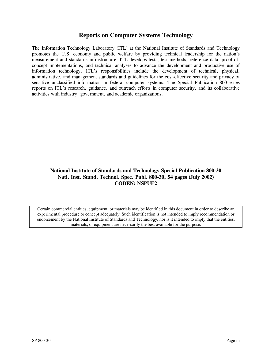# **Reports on Computer Systems Technology**

The Information Technology Laboratory (ITL) at the National Institute of Standards and Technology promotes the U.S. economy and public welfare by providing technical leadership for the nation's measurement and standards infrastructure. ITL develops tests, test methods, reference data, proof-ofconcept implementations, and technical analyses to advance the development and productive use of information technology. ITL's responsibilities include the development of technical, physical, administrative, and management standards and guidelines for the cost-effective security and privacy of sensitive unclassified information in federal computer systems. The Special Publication 800-series reports on ITL's research, guidance, and outreach efforts in computer security, and its collaborative activities with industry, government, and academic organizations.

#### **National Institute of Standards and Technology Special Publication 800-30 Natl. Inst. Stand. Technol. Spec. Publ. 800-30, 54 pages (July 2002) CODEN: NSPUE2**

Certain commercial entities, equipment, or materials may be identified in this document in order to describe an experimental procedure or concept adequately. Such identification is not intended to imply recommendation or endorsement by the National Institute of Standards and Technology, nor is it intended to imply that the entities, materials, or equipment are necessarily the best available for the purpose.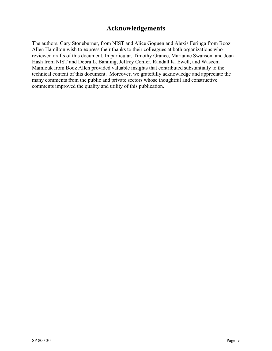# **Acknowledgements**

The authors, Gary Stoneburner, from NIST and Alice Goguen and Alexis Feringa from Booz Allen Hamilton wish to express their thanks to their colleagues at both organizations who reviewed drafts of this document. In particular, Timothy Grance, Marianne Swanson, and Joan Hash from NIST and Debra L. Banning, Jeffrey Confer, Randall K. Ewell, and Waseem Mamlouk from Booz Allen provided valuable insights that contributed substantially to the technical content of this document. Moreover, we gratefully acknowledge and appreciate the many comments from the public and private sectors whose thoughtful and constructive comments improved the quality and utility of this publication.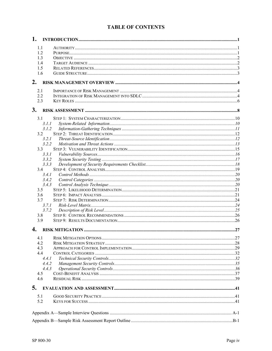# **TABLE OF CONTENTS**

| 1.1                |  |
|--------------------|--|
| 1.2                |  |
| 1.3                |  |
| 1.4                |  |
| 1.5                |  |
| 1.6                |  |
|                    |  |
| 2.                 |  |
| 2.1                |  |
| 2.2                |  |
| 2.3                |  |
| 3.                 |  |
| 3.1                |  |
| 3.1.1              |  |
| 3.1.2              |  |
| 3.2                |  |
| 3.2.1              |  |
| 3.2.2              |  |
|                    |  |
| 3.3                |  |
| 3.3.1              |  |
| 3.3.2              |  |
| 3.3.3              |  |
| 3.4                |  |
| 3.4.1              |  |
| 3.4.2              |  |
| 3.4.3              |  |
| 3.5                |  |
| 3.6                |  |
| 3.7                |  |
| 3.7.1              |  |
| 3.7.2              |  |
| 3.8                |  |
| 3.9                |  |
| $\boldsymbol{4}$ . |  |
| 4.1                |  |
| 4.2                |  |
| 4.3                |  |
| 4.4                |  |
| 4.4.1              |  |
| 4.4.2              |  |
| 4.4.3              |  |
|                    |  |
| 4.5<br>4.6         |  |
|                    |  |
| 5.                 |  |
| 5.1                |  |
| 5.2                |  |
|                    |  |
|                    |  |
|                    |  |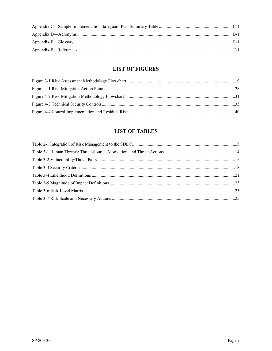# **LIST OF FIGURES**

# **LIST OF TABLES**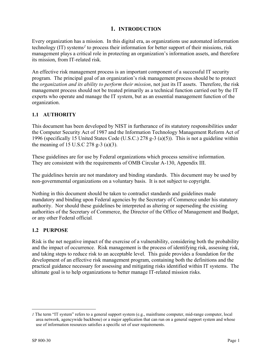# **1. INTRODUCTION**

Every organization has a mission. In this digital era, as organizations use automated information technology (IT) systems*1* to process their information for better support of their missions, risk management plays a critical role in protecting an organization's information assets, and therefore its mission, from IT-related risk.

An effective risk management process is an important component of a successful IT security program. The principal goal of an organization's risk management process should be to protect the *organization and its ability to perform their mission*, not just its IT assets. Therefore, the risk management process should not be treated primarily as a technical function carried out by the IT experts who operate and manage the IT system, but as an essential management function of the organization.

# **1.1 AUTHORITY**

This document has been developed by NIST in furtherance of its statutory responsibilities under the Computer Security Act of 1987 and the Information Technology Management Reform Act of 1996 (specifically 15 United States Code (U.S.C.) 278 g-3 (a)(5)). This is not a guideline within the meaning of 15 U.S.C 278 g-3 (a)(3).

These guidelines are for use by Federal organizations which process sensitive information. They are consistent with the requirements of OMB Circular A-130, Appendix III.

The guidelines herein are not mandatory and binding standards. This document may be used by non-governmental organizations on a voluntary basis. It is not subject to copyright.

Nothing in this document should be taken to contradict standards and guidelines made mandatory and binding upon Federal agencies by the Secretary of Commerce under his statutory authority. Nor should these guidelines be interpreted as altering or superseding the existing authorities of the Secretary of Commerce, the Director of the Office of Management and Budget, or any other Federal official*.* 

#### **1.2 PURPOSE**

Risk is the net negative impact of the exercise of a vulnerability, considering both the probability and the impact of occurrence. Risk management is the process of identifying risk, assessing risk, and taking steps to reduce risk to an acceptable level. This guide provides a foundation for the development of an effective risk management program, containing both the definitions and the practical guidance necessary for assessing and mitigating risks identified within IT systems. The ultimate goal is to help organizations to better manage IT-related mission risks.

 $\overline{a}$ 

*<sup>1</sup>* The term "IT system" refers to a general support system (e.g., mainframe computer, mid-range computer, local area network, agencywide backbone) or a major application that can run on a general support system and whose use of information resources satisfies a specific set of user requirements.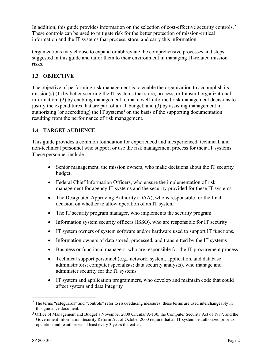In addition, this guide provides information on the selection of cost-effective security controls.*2* These controls can be used to mitigate risk for the better protection of mission-critical information and the IT systems that process, store, and carry this information.

Organizations may choose to expand or abbreviate the comprehensive processes and steps suggested in this guide and tailor them to their environment in managing IT-related mission risks.

# **1.3 OBJECTIVE**

The objective of performing risk management is to enable the organization to accomplish its mission(s) (1) by better securing the IT systems that store, process, or transmit organizational information; (2) by enabling management to make well-informed risk management decisions to justify the expenditures that are part of an IT budget; and (3) by assisting management in authorizing (or accrediting) the IT systems*3* on the basis of the supporting documentation resulting from the performance of risk management.

# **1.4 TARGET AUDIENCE**

This guide provides a common foundation for experienced and inexperienced, technical, and non-technical personnel who support or use the risk management process for their IT systems. These personnel include

- Senior management, the mission owners, who make decisions about the IT security budget.
- Federal Chief Information Officers, who ensure the implementation of risk management for agency IT systems and the security provided for these IT systems
- The Designated Approving Authority (DAA), who is responsible for the final decision on whether to allow operation of an IT system
- The IT security program manager, who implements the security program
- Information system security officers (ISSO), who are responsible for IT security
- IT system owners of system software and/or hardware used to support IT functions.
- Information owners of data stored, processed, and transmitted by the IT systems
- Business or functional managers, who are responsible for the IT procurement process
- Technical support personnel (e.g., network, system, application, and database administrators; computer specialists; data security analysts), who manage and administer security for the IT systems
- IT system and application programmers, who develop and maintain code that could affect system and data integrity

 $\overline{a}$ 

*<sup>2</sup>* The terms "safeguards" and "controls" refer to risk-reducing measures; these terms are used interchangeably in this guidance document.

*<sup>3</sup>* Office of Management and Budget's November 2000 Circular A-130, the Computer Security Act of 1987, and the Government Information Security Reform Act of October 2000 require that an IT system be authorized prior to operation and reauthorized at least every 3 years thereafter.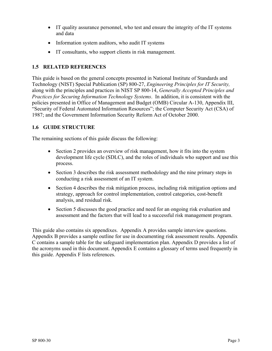- IT quality assurance personnel, who test and ensure the integrity of the IT systems and data
- Information system auditors, who audit IT systems
- IT consultants, who support clients in risk management.

# **1.5 RELATED REFERENCES**

This guide is based on the general concepts presented in National Institute of Standards and Technology (NIST) Special Publication (SP) 800-27, *Engineering Principles for IT Security,* along with the principles and practices in NIST SP 800-14, *Generally Accepted Principles and Practices for Securing Information Technology Systems*. In addition, it is consistent with the policies presented in Office of Management and Budget (OMB) Circular A-130, Appendix III, "Security of Federal Automated Information Resources"; the Computer Security Act (CSA) of 1987; and the Government Information Security Reform Act of October 2000.

#### **1.6 GUIDE STRUCTURE**

The remaining sections of this guide discuss the following:

- Section 2 provides an overview of risk management, how it fits into the system development life cycle (SDLC), and the roles of individuals who support and use this process.
- Section 3 describes the risk assessment methodology and the nine primary steps in conducting a risk assessment of an IT system.
- Section 4 describes the risk mitigation process, including risk mitigation options and strategy, approach for control implementation, control categories, cost-benefit analysis, and residual risk.
- Section 5 discusses the good practice and need for an ongoing risk evaluation and assessment and the factors that will lead to a successful risk management program.

This guide also contains six appendixes. Appendix A provides sample interview questions. Appendix B provides a sample outline for use in documenting risk assessment results. Appendix C contains a sample table for the safeguard implementation plan. Appendix D provides a list of the acronyms used in this document. Appendix E contains a glossary of terms used frequently in this guide. Appendix F lists references.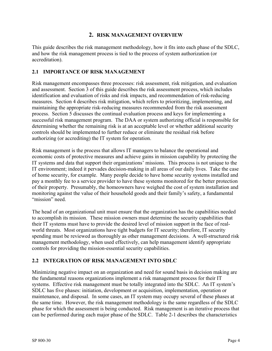# **2. RISK MANAGEMENT OVERVIEW**

This guide describes the risk management methodology, how it fits into each phase of the SDLC, and how the risk management process is tied to the process of system authorization (or accreditation).

#### **2.1 IMPORTANCE OF RISK MANAGEMENT**

Risk management encompasses three processes: risk assessment, risk mitigation, and evaluation and assessment. Section 3 of this guide describes the risk assessment process, which includes identification and evaluation of risks and risk impacts, and recommendation of risk-reducing measures. Section 4 describes risk mitigation, which refers to prioritizing, implementing, and maintaining the appropriate risk-reducing measures recommended from the risk assessment process. Section 5 discusses the continual evaluation process and keys for implementing a successful risk management program. The DAA or system authorizing official is responsible for determining whether the remaining risk is at an acceptable level or whether additional security controls should be implemented to further reduce or eliminate the residual risk before authorizing (or accrediting) the IT system for operation.

Risk management is the process that allows IT managers to balance the operational and economic costs of protective measures and achieve gains in mission capability by protecting the IT systems and data that support their organizations' missions. This process is not unique to the IT environment; indeed it pervades decision-making in all areas of our daily lives. Take the case of home security, for example. Many people decide to have home security systems installed and pay a monthly fee to a service provider to have these systems monitored for the better protection of their property. Presumably, the homeowners have weighed the cost of system installation and monitoring against the value of their household goods and their family's safety, a fundamental "mission" need.

The head of an organizational unit must ensure that the organization has the capabilities needed to accomplish its mission. These mission owners must determine the security capabilities that their IT systems must have to provide the desired level of mission support in the face of realworld threats. Most organizations have tight budgets for IT security; therefore, IT security spending must be reviewed as thoroughly as other management decisions. A well-structured risk management methodology, when used effectively, can help management identify appropriate controls for providing the mission-essential security capabilities.

# **2.2 INTEGRATION OF RISK MANAGEMENT INTO SDLC**

Minimizing negative impact on an organization and need for sound basis in decision making are the fundamental reasons organizations implement a risk management process for their IT systems. Effective risk management must be totally integrated into the SDLC. An IT system's SDLC has five phases: initiation, development or acquisition, implementation, operation or maintenance, and disposal. In some cases, an IT system may occupy several of these phases at the same time. However, the risk management methodology is the same regardless of the SDLC phase for which the assessment is being conducted. Risk management is an iterative process that can be performed during each major phase of the SDLC. Table 2-1 describes the characteristics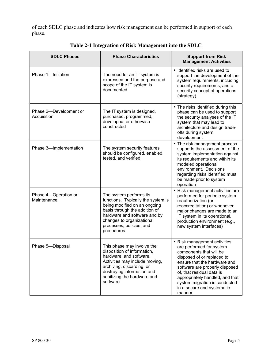of each SDLC phase and indicates how risk management can be performed in support of each phase.

| <b>SDLC Phases</b>                    | <b>Phase Characteristics</b>                                                                                                                                                                                                          | <b>Support from Risk</b><br><b>Management Activities</b>                                                                                                                                                                                                                                                                     |
|---------------------------------------|---------------------------------------------------------------------------------------------------------------------------------------------------------------------------------------------------------------------------------------|------------------------------------------------------------------------------------------------------------------------------------------------------------------------------------------------------------------------------------------------------------------------------------------------------------------------------|
| Phase 1-Initiation                    | The need for an IT system is<br>expressed and the purpose and<br>scope of the IT system is<br>documented                                                                                                                              | • Identified risks are used to<br>support the development of the<br>system requirements, including<br>security requirements, and a<br>security concept of operations<br>(strategy)                                                                                                                                           |
| Phase 2-Development or<br>Acquisition | The IT system is designed,<br>purchased, programmed,<br>developed, or otherwise<br>constructed                                                                                                                                        | • The risks identified during this<br>phase can be used to support<br>the security analyses of the IT<br>system that may lead to<br>architecture and design trade-<br>offs during system<br>development                                                                                                                      |
| Phase 3-Implementation                | The system security features<br>should be configured, enabled,<br>tested, and verified                                                                                                                                                | • The risk management process<br>supports the assessment of the<br>system implementation against<br>its requirements and within its<br>modeled operational<br>environment. Decisions<br>regarding risks identified must<br>be made prior to system<br>operation                                                              |
| Phase 4-Operation or<br>Maintenance   | The system performs its<br>functions. Typically the system is<br>being modified on an ongoing<br>basis through the addition of<br>hardware and software and by<br>changes to organizational<br>processes, policies, and<br>procedures | • Risk management activities are<br>performed for periodic system<br>reauthorization (or<br>reaccreditation) or whenever<br>major changes are made to an<br>IT system in its operational,<br>production environment (e.g.,<br>new system interfaces)                                                                         |
| Phase 5-Disposal                      | This phase may involve the<br>disposition of information,<br>hardware, and software.<br>Activities may include moving,<br>archiving, discarding, or<br>destroying information and<br>sanitizing the hardware and<br>software          | • Risk management activities<br>are performed for system<br>components that will be<br>disposed of or replaced to<br>ensure that the hardware and<br>software are properly disposed<br>of, that residual data is<br>appropriately handled, and that<br>system migration is conducted<br>in a secure and systematic<br>manner |

**Table 2-1 Integration of Risk Management into the SDLC**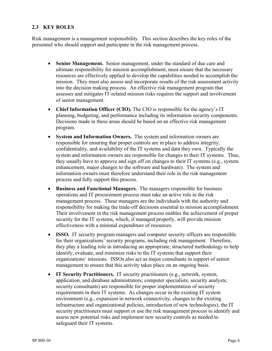#### **2.3 KEY ROLES**

Risk management is a management responsibility. This section describes the key roles of the personnel who should support and participate in the risk management process.

- **Senior Management.** Senior management, under the standard of due care and ultimate responsibility for mission accomplishment, must ensure that the necessary resources are effectively applied to develop the capabilities needed to accomplish the mission. They must also assess and incorporate results of the risk assessment activity into the decision making process. An effective risk management program that assesses and mitigates IT-related mission risks requires the support and involvement of senior management.
- **Chief Information Officer (CIO).** The CIO is responsible for the agency's IT planning, budgeting, and performance including its information security components. Decisions made in these areas should be based on an effective risk management program.
- **System and Information Owners.** The system and information owners are responsible for ensuring that proper controls are in place to address integrity, confidentiality, and availability of the IT systems and data they own. Typically the system and information owners are responsible for changes to their IT systems. Thus, they usually have to approve and sign off on changes to their IT systems (e.g., system enhancement, major changes to the software and hardware). The system and information owners must therefore understand their role in the risk management process and fully support this process.
- **Business and Functional Managers.** The managers responsible for business operations and IT procurement process must take an active role in the risk management process. These managers are the individuals with the authority and responsibility for making the trade-off decisions essential to mission accomplishment. Their involvement in the risk management process enables the achievement of proper security for the IT systems, which, if managed properly, will provide mission effectiveness with a minimal expenditure of resources.
- **ISSO.** IT security program managers and computer security officers are responsible for their organizations' security programs, including risk management. Therefore, they play a leading role in introducing an appropriate, structured methodology to help identify, evaluate, and minimize risks to the IT systems that support their organizations' missions. ISSOs also act as major consultants in support of senior management to ensure that this activity takes place on an ongoing basis.
- **IT Security Practitioners.** IT security practitioners (e.g., network, system, application, and database administrators; computer specialists; security analysts; security consultants) are responsible for proper implementation of security requirements in their IT systems. As changes occur in the existing IT system environment (e.g., expansion in network connectivity, changes to the existing infrastructure and organizational policies, introduction of new technologies), the IT security practitioners must support or use the risk management process to identify and assess new potential risks and implement new security controls as needed to safeguard their IT systems.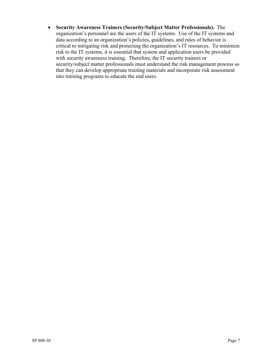• **Security Awareness Trainers (Security/Subject Matter Professionals).** The organization's personnel are the users of the IT systems. Use of the IT systems and data according to an organization's policies, guidelines, and rules of behavior is critical to mitigating risk and protecting the organization's IT resources. To minimize risk to the IT systems, it is essential that system and application users be provided with security awareness training. Therefore, the IT security trainers or security/subject matter professionals must understand the risk management process so that they can develop appropriate training materials and incorporate risk assessment into training programs to educate the end users.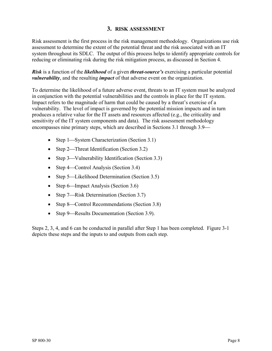# **3. RISK ASSESSMENT**

Risk assessment is the first process in the risk management methodology. Organizations use risk assessment to determine the extent of the potential threat and the risk associated with an IT system throughout its SDLC. The output of this process helps to identify appropriate controls for reducing or eliminating risk during the risk mitigation process, as discussed in Section 4.

#### *Risk* is a function of the *likelihood* of a given *threat-source's* exercising a particular potential *vulnerability*, and the resulting *impact* of that adverse event on the organization.

To determine the likelihood of a future adverse event, threats to an IT system must be analyzed in conjunction with the potential vulnerabilities and the controls in place for the IT system. Impact refers to the magnitude of harm that could be caused by a threat's exercise of a vulnerability. The level of impact is governed by the potential mission impacts and in turn produces a relative value for the IT assets and resources affected (e.g., the criticality and sensitivity of the IT system components and data). The risk assessment methodology encompasses nine primary steps, which are described in Sections 3.1 through 3.9—

- Step 1—System Characterization (Section 3.1)
- Step 2—Threat Identification (Section 3.2)
- Step 3—Vulnerability Identification (Section 3.3)
- Step 4—Control Analysis (Section 3.4)
- Step 5—Likelihood Determination (Section 3.5)
- Step 6—Impact Analysis (Section 3.6)
- Step  $7$ —Risk Determination (Section 3.7)
- Step 8—Control Recommendations (Section 3.8)
- Step 9—Results Documentation (Section 3.9).

Steps 2, 3, 4, and 6 can be conducted in parallel after Step 1 has been completed. Figure 3-1 depicts these steps and the inputs to and outputs from each step.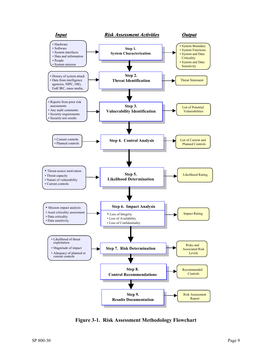

**Figure 3-1. Risk Assessment Methodology Flowchart**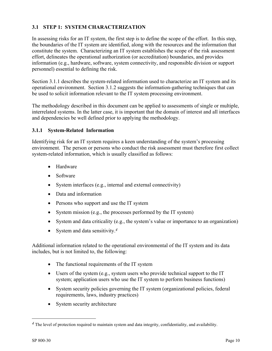# **3.1 STEP 1: SYSTEM CHARACTERIZATION**

In assessing risks for an IT system, the first step is to define the scope of the effort. In this step, the boundaries of the IT system are identified, along with the resources and the information that constitute the system. Characterizing an IT system establishes the scope of the risk assessment effort, delineates the operational authorization (or accreditation) boundaries, and provides information (e.g., hardware, software, system connectivity, and responsible division or support personnel) essential to defining the risk.

Section 3.1.1 describes the system-related information used to characterize an IT system and its operational environment. Section 3.1.2 suggests the information-gathering techniques that can be used to solicit information relevant to the IT system processing environment.

The methodology described in this document can be applied to assessments of single or multiple, interrelated systems. In the latter case, it is important that the domain of interest and all interfaces and dependencies be well defined prior to applying the methodology.

## **3.1.1 System-Related Information**

Identifying risk for an IT system requires a keen understanding of the system's processing environment. The person or persons who conduct the risk assessment must therefore first collect system-related information, which is usually classified as follows:

- Hardware
- Software
- System interfaces (e.g., internal and external connectivity)
- Data and information
- Persons who support and use the IT system
- System mission (e.g., the processes performed by the IT system)
- System and data criticality (e.g., the system's value or importance to an organization)
- System and data sensitivity.*4*

Additional information related to the operational environmental of the IT system and its data includes, but is not limited to, the following:

- The functional requirements of the IT system
- Users of the system (e.g., system users who provide technical support to the IT system; application users who use the IT system to perform business functions)
- System security policies governing the IT system (organizational policies, federal requirements, laws, industry practices)
- System security architecture

1

*<sup>4</sup>* The level of protection required to maintain system and data integrity, confidentiality, and availability.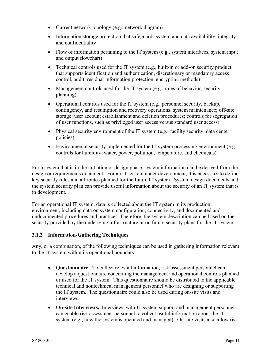- Current network topology (e.g., network diagram)
- Information storage protection that safeguards system and data availability, integrity, and confidentiality
- Flow of information pertaining to the IT system (e.g., system interfaces, system input and output flowchart)
- Technical controls used for the IT system (e.g., built-in or add-on security product that supports identification and authentication, discretionary or mandatory access control, audit, residual information protection, encryption methods)
- Management controls used for the IT system (e.g., rules of behavior, security planning)
- Operational controls used for the IT system (e.g., personnel security, backup, contingency, and resumption and recovery operations; system maintenance; off-site storage; user account establishment and deletion procedures; controls for segregation of user functions, such as privileged user access versus standard user access)
- Physical security environment of the IT system (e.g., facility security, data center policies)
- Environmental security implemented for the IT system processing environment  $(e.g.,)$ controls for humidity, water, power, pollution, temperature, and chemicals).

For a system that is in the initiation or design phase, system information can be derived from the design or requirements document. For an IT system under development, it is necessary to define key security rules and attributes planned for the future IT system. System design documents and the system security plan can provide useful information about the security of an IT system that is in development.

For an operational IT system, data is collected about the IT system in its production environment, including data on system configuration, connectivity, and documented and undocumented procedures and practices. Therefore, the system description can be based on the security provided by the underlying infrastructure or on future security plans for the IT system.

#### **3.1.2 Information-Gathering Techniques**

Any, or a combination, of the following techniques can be used in gathering information relevant to the IT system within its operational boundary:

- **Questionnaire.** To collect relevant information, risk assessment personnel can develop a questionnaire concerning the management and operational controls planned or used for the IT system. This questionnaire should be distributed to the applicable technical and nontechnical management personnel who are designing or supporting the IT system. The questionnaire could also be used during on-site visits and interviews.
- **On-site Interviews.** Interviews with IT system support and management personnel can enable risk assessment personnel to collect useful information about the IT system (e.g., how the system is operated and managed). On-site visits also allow risk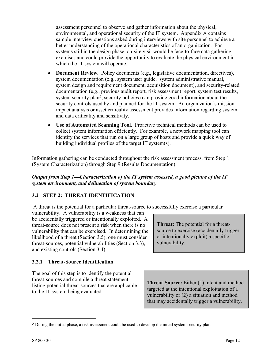assessment personnel to observe and gather information about the physical, environmental, and operational security of the IT system. Appendix A contains sample interview questions asked during interviews with site personnel to achieve a better understanding of the operational characteristics of an organization. For systems still in the design phase, on-site visit would be face-to-face data gathering exercises and could provide the opportunity to evaluate the physical environment in which the IT system will operate.

- **Document Review.** Policy documents (e.g., legislative documentation, directives), system documentation (e.g., system user guide, system administrative manual, system design and requirement document, acquisition document), and security-related documentation (e.g., previous audit report, risk assessment report, system test results, system security plan*5*, security policies) can provide good information about the security controls used by and planned for the IT system. An organization's mission impact analysis or asset criticality assessment provides information regarding system and data criticality and sensitivity.
- **Use of Automated Scanning Tool.** Proactive technical methods can be used to collect system information efficiently. For example, a network mapping tool can identify the services that run on a large group of hosts and provide a quick way of building individual profiles of the target IT system(s).

Information gathering can be conducted throughout the risk assessment process, from Step 1 (System Characterization) through Step 9 (Results Documentation).

*Output from Step 1Characterization of the IT system assessed, a good picture of the IT system environment, and delineation of system boundary* 

# **3.2 STEP 2: THREAT IDENTIFICATION**

A threat is the potential for a particular threat-source to successfully exercise a particular

vulnerability. A vulnerability is a weakness that can be accidentally triggered or intentionally exploited. A threat-source does not present a risk when there is no vulnerability that can be exercised. In determining the likelihood of a threat (Section 3.5), one must consider threat-sources, potential vulnerabilities (Section 3.3), and existing controls (Section 3.4).

**Threat:** The potential for a threatsource to exercise (accidentally trigger or intentionally exploit) a specific vulnerability.

# **3.2.1 Threat-Source Identification**

The goal of this step is to identify the potential threat-sources and compile a threat statement listing potential threat-sources that are applicable to the IT system being evaluated.

**Threat-Source:** Either (1) intent and method targeted at the intentional exploitation of a vulnerability or (2) a situation and method that may accidentally trigger a vulnerability.

 $\overline{a}$ 

*<sup>5</sup>* During the initial phase, a risk assessment could be used to develop the initial system security plan.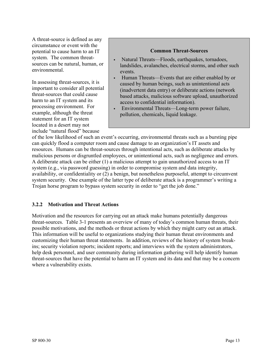A threat-source is defined as any circumstance or event with the potential to cause harm to an IT system. The common threatsources can be natural, human, or environmental.

In assessing threat-sources, it is important to consider all potential threat-sources that could cause harm to an IT system and its processing environment. For example, although the threat statement for an IT system located in a desert may not include "natural flood" because

#### **Common Threat-Sources**

- Natural Threats—Floods, earthquakes, tornadoes, landslides, avalanches, electrical storms, and other such events.
- Human Threats—Events that are either enabled by or caused by human beings, such as unintentional acts (inadvertent data entry) or deliberate actions (network based attacks, malicious software upload, unauthorized access to confidential information).
- Environmental Threats—Long-term power failure, pollution, chemicals, liquid leakage.

of the low likelihood of such an event's occurring, environmental threats such as a bursting pipe can quickly flood a computer room and cause damage to an organization's IT assets and resources. Humans can be threat-sources through intentional acts, such as deliberate attacks by malicious persons or disgruntled employees, or unintentional acts, such as negligence and errors. A deliberate attack can be either (1) a malicious attempt to gain unauthorized access to an IT system (e.g., via password guessing) in order to compromise system and data integrity, availability, or confidentiality or (2) a benign, but nonetheless purposeful, attempt to circumvent system security. One example of the latter type of deliberate attack is a programmer's writing a Trojan horse program to bypass system security in order to "get the job done."

#### **3.2.2 Motivation and Threat Actions**

Motivation and the resources for carrying out an attack make humans potentially dangerous threat-sources. Table 3-1 presents an overview of many of today's common human threats, their possible motivations, and the methods or threat actions by which they might carry out an attack. This information will be useful to organizations studying their human threat environments and customizing their human threat statements. In addition, reviews of the history of system breakins; security violation reports; incident reports; and interviews with the system administrators, help desk personnel, and user community during information gathering will help identify human threat-sources that have the potential to harm an IT system and its data and that may be a concern where a vulnerability exists.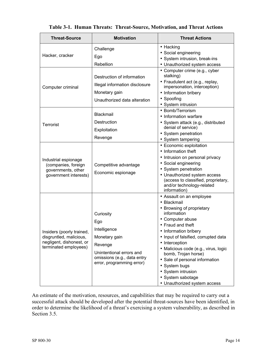| <b>Threat-Source</b>                                                                                      | <b>Motivation</b>                                                                                                                                    | <b>Threat Actions</b>                                                                                                                                                                                                                                                                                                                                                                                        |
|-----------------------------------------------------------------------------------------------------------|------------------------------------------------------------------------------------------------------------------------------------------------------|--------------------------------------------------------------------------------------------------------------------------------------------------------------------------------------------------------------------------------------------------------------------------------------------------------------------------------------------------------------------------------------------------------------|
| Hacker, cracker                                                                                           | Challenge<br>Ego<br>Rebellion                                                                                                                        | • Hacking<br>• Social engineering<br>• System intrusion, break-ins<br>• Unauthorized system access<br>• Computer crime (e.g., cyber                                                                                                                                                                                                                                                                          |
| Computer criminal                                                                                         | Destruction of information<br>Illegal information disclosure<br>Monetary gain<br>Unauthorized data alteration                                        | stalking)<br>• Fraudulent act (e.g., replay,<br>impersonation, interception)<br>• Information bribery<br>• Spoofing<br>• System intrusion                                                                                                                                                                                                                                                                    |
| <b>Terrorist</b>                                                                                          | <b>Blackmail</b><br>Destruction<br>Exploitation<br>Revenge                                                                                           | • Bomb/Terrorism<br>• Information warfare<br>• System attack (e.g., distributed<br>denial of service)<br>• System penetration<br>• System tampering                                                                                                                                                                                                                                                          |
| Industrial espionage<br>(companies, foreign<br>governments, other<br>government interests)                | Competitive advantage<br>Economic espionage                                                                                                          | • Economic exploitation<br>• Information theft<br>• Intrusion on personal privacy<br>• Social engineering<br>• System penetration<br>• Unauthorized system access<br>(access to classified, proprietary,<br>and/or technology-related<br>information)                                                                                                                                                        |
| Insiders (poorly trained,<br>disgruntled, malicious,<br>negligent, dishonest, or<br>terminated employees) | Curiosity<br>Ego<br>Intelligence<br>Monetary gain<br>Revenge<br>Unintentional errors and<br>omissions (e.g., data entry<br>error, programming error) | • Assault on an employee<br>• Blackmail<br>• Browsing of proprietary<br>information<br>• Computer abuse<br>• Fraud and theft<br>• Information bribery<br>• Input of falsified, corrupted data<br>• Interception<br>· Malicious code (e.g., virus, logic<br>bomb, Trojan horse)<br>• Sale of personal information<br>• System bugs<br>• System intrusion<br>• System sabotage<br>• Unauthorized system access |

#### **Table 3-1. Human Threats: Threat-Source, Motivation, and Threat Actions**

An estimate of the motivation, resources, and capabilities that may be required to carry out a successful attack should be developed after the potential threat-sources have been identified, in order to determine the likelihood of a threat's exercising a system vulnerability, as described in Section 3.5.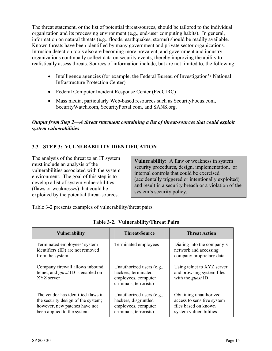The threat statement, or the list of potential threat-sources, should be tailored to the individual organization and its processing environment (e.g., end-user computing habits). In general, information on natural threats (e.g., floods, earthquakes, storms) should be readily available. Known threats have been identified by many government and private sector organizations. Intrusion detection tools also are becoming more prevalent, and government and industry organizations continually collect data on security events, thereby improving the ability to realistically assess threats. Sources of information include, but are not limited to, the following:

- Intelligence agencies (for example, the Federal Bureau of Investigation's National Infrastructure Protection Center)
- Federal Computer Incident Response Center (FedCIRC)
- Mass media, particularly Web-based resources such as SecurityFocus.com, SecurityWatch.com, SecurityPortal.com, and SANS.org.

*Output from Step 2A threat statement containing a list of threat-sources that could exploit system vulnerabilities* 

# **3.3 STEP 3: VULNERABILITY IDENTIFICATION**

The analysis of the threat to an IT system must include an analysis of the vulnerabilities associated with the system environment. The goal of this step is to develop a list of system vulnerabilities (flaws or weaknesses) that could be exploited by the potential threat-sources.

**Vulnerability:** A flaw or weakness in system security procedures, design, implementation, or internal controls that could be exercised (accidentally triggered or intentionally exploited) and result in a security breach or a violation of the system's security policy.

Table 3-2 presents examples of vulnerability/threat pairs.

| <b>Vulnerability</b>                                                                                                                    | <b>Threat-Source</b>                                                                               | <b>Threat Action</b>                                                                                   |
|-----------------------------------------------------------------------------------------------------------------------------------------|----------------------------------------------------------------------------------------------------|--------------------------------------------------------------------------------------------------------|
| Terminated employees' system<br>identifiers (ID) are not removed<br>from the system                                                     | Terminated employees                                                                               | Dialing into the company's<br>network and accessing<br>company proprietary data                        |
| Company firewall allows inbound<br>telnet, and <i>guest</i> ID is enabled on<br>XYZ server                                              | Unauthorized users (e.g.,<br>hackers, terminated<br>employees, computer<br>criminals, terrorists)  | Using telnet to XYZ server<br>and browsing system files<br>with the <i>guest</i> ID                    |
| The vendor has identified flaws in<br>the security design of the system;<br>however, new patches have not<br>been applied to the system | Unauthorized users (e.g.,<br>hackers, disgruntled<br>employees, computer<br>criminals, terrorists) | Obtaining unauthorized<br>access to sensitive system<br>files based on known<br>system vulnerabilities |

**Table 3-2. Vulnerability/Threat Pairs**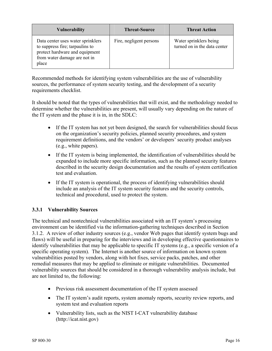| <b>Vulnerability</b>                                                                                                                            | <b>Threat-Source</b>    | <b>Threat Action</b>                                   |
|-------------------------------------------------------------------------------------------------------------------------------------------------|-------------------------|--------------------------------------------------------|
| Data center uses water sprinklers<br>to suppress fire; tarpaulins to<br>protect hardware and equipment<br>from water damage are not in<br>place | Fire, negligent persons | Water sprinklers being<br>turned on in the data center |

Recommended methods for identifying system vulnerabilities are the use of vulnerability sources, the performance of system security testing, and the development of a security requirements checklist.

It should be noted that the types of vulnerabilities that will exist, and the methodology needed to determine whether the vulnerabilities are present, will usually vary depending on the nature of the IT system and the phase it is in, in the SDLC:

- If the IT system has not yet been designed, the search for vulnerabilities should focus on the organization's security policies, planned security procedures, and system requirement definitions, and the vendors' or developers' security product analyses (e.g., white papers).
- If the IT system is being implemented, the identification of vulnerabilities should be expanded to include more specific information, such as the planned security features described in the security design documentation and the results of system certification test and evaluation.
- If the IT system is operational, the process of identifying vulnerabilities should include an analysis of the IT system security features and the security controls, technical and procedural, used to protect the system.

# **3.3.1 Vulnerability Sources**

The technical and nontechnical vulnerabilities associated with an IT system's processing environment can be identified via the information-gathering techniques described in Section 3.1.2. A review of other industry sources (e.g., vendor Web pages that identify system bugs and flaws) will be useful in preparing for the interviews and in developing effective questionnaires to identify vulnerabilities that may be applicable to specific IT systems (e.g., a specific version of a specific operating system). The Internet is another source of information on known system vulnerabilities posted by vendors, along with hot fixes, service packs, patches, and other remedial measures that may be applied to eliminate or mitigate vulnerabilities. Documented vulnerability sources that should be considered in a thorough vulnerability analysis include, but are not limited to, the following:

- Previous risk assessment documentation of the IT system assessed
- The IT system's audit reports, system anomaly reports, security review reports, and system test and evaluation reports
- Vulnerability lists, such as the NIST I-CAT vulnerability database (http://icat.nist.gov)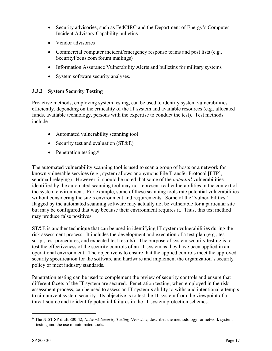- Security advisories, such as FedCIRC and the Department of Energy's Computer Incident Advisory Capability bulletins
- Vendor advisories
- Commercial computer incident/emergency response teams and post lists (e.g., SecurityFocus.com forum mailings)
- Information Assurance Vulnerability Alerts and bulletins for military systems
- System software security analyses.

## **3.3.2 System Security Testing**

Proactive methods, employing system testing, can be used to identify system vulnerabilities efficiently, depending on the criticality of the IT system and available resources (e.g., allocated funds, available technology, persons with the expertise to conduct the test). Test methods include

- Automated vulnerability scanning tool
- Security test and evaluation (ST&E)
- Penetration testing.<sup>6</sup>

The automated vulnerability scanning tool is used to scan a group of hosts or a network for known vulnerable services (e.g., system allows anonymous File Transfer Protocol [FTP], sendmail relaying). However, it should be noted that some of the *potential* vulnerabilities identified by the automated scanning tool may not represent real vulnerabilities in the context of the system environment. For example, some of these scanning tools rate potential vulnerabilities without considering the site's environment and requirements. Some of the "vulnerabilities" flagged by the automated scanning software may actually not be vulnerable for a particular site but may be configured that way because their environment requires it. Thus, this test method may produce false positives.

ST&E is another technique that can be used in identifying IT system vulnerabilities during the risk assessment process. It includes the development and execution of a test plan (e.g., test script, test procedures, and expected test results). The purpose of system security testing is to test the effectiveness of the security controls of an IT system as they have been applied in an operational environment. The objective is to ensure that the applied controls meet the approved security specification for the software and hardware and implement the organization's security policy or meet industry standards.

Penetration testing can be used to complement the review of security controls and ensure that different facets of the IT system are secured. Penetration testing, when employed in the risk assessment process, can be used to assess an IT system's ability to withstand intentional attempts to circumvent system security. Its objective is to test the IT system from the viewpoint of a threat-source and to identify potential failures in the IT system protection schemes.

 $\overline{a}$ 

*<sup>6</sup>* The NIST SP draft 800-42, *Network Security Testing Overview*, describes the methodology for network system testing and the use of automated tools.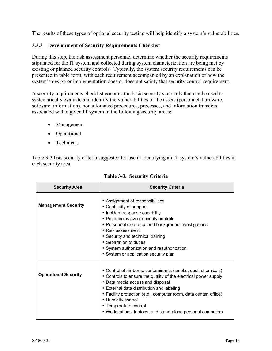The results of these types of optional security testing will help identify a system's vulnerabilities.

# **3.3.3 Development of Security Requirements Checklist**

During this step, the risk assessment personnel determine whether the security requirements stipulated for the IT system and collected during system characterization are being met by existing or planned security controls. Typically, the system security requirements can be presented in table form, with each requirement accompanied by an explanation of how the system's design or implementation does or does not satisfy that security control requirement.

A security requirements checklist contains the basic security standards that can be used to systematically evaluate and identify the vulnerabilities of the assets (personnel, hardware, software, information), nonautomated procedures, processes, and information transfers associated with a given IT system in the following security areas:

- Management
- Operational
- Technical.

Table 3-3 lists security criteria suggested for use in identifying an IT system's vulnerabilities in each security area.

| <b>Security Area</b>        | <b>Security Criteria</b>                                                                                                                                                                                                                                                                                                                                                                           |
|-----------------------------|----------------------------------------------------------------------------------------------------------------------------------------------------------------------------------------------------------------------------------------------------------------------------------------------------------------------------------------------------------------------------------------------------|
| <b>Management Security</b>  | • Assignment of responsibilities<br>• Continuity of support<br>• Incident response capability<br>• Periodic review of security controls<br>• Personnel clearance and background investigations<br>• Risk assessment<br>• Security and technical training<br>• Separation of duties<br>• System authorization and reauthorization<br>• System or application security plan                          |
| <b>Operational Security</b> | • Control of air-borne contaminants (smoke, dust, chemicals)<br>• Controls to ensure the quality of the electrical power supply<br>• Data media access and disposal<br>• External data distribution and labeling<br>• Facility protection (e.g., computer room, data center, office)<br>• Humidity control<br>• Temperature control<br>• Workstations, laptops, and stand-alone personal computers |

**Table 3-3. Security Criteria**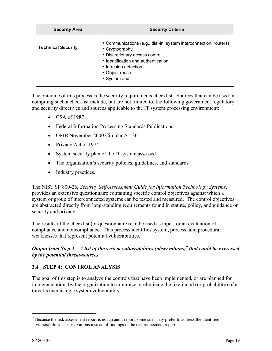| <b>Security Area</b>      | <b>Security Criteria</b>                                                                                                                                                                                                  |
|---------------------------|---------------------------------------------------------------------------------------------------------------------------------------------------------------------------------------------------------------------------|
| <b>Technical Security</b> | • Communications (e.g., dial-in, system interconnection, routers)<br>• Cryptography<br>• Discretionary access control<br>• Identification and authentication<br>• Intrusion detection<br>• Object reuse<br>• System audit |

The outcome of this process is the security requirements checklist. Sources that can be used in compiling such a checklist include, but are not limited to, the following government regulatory and security directives and sources applicable to the IT system processing environment:

- CSA of 1987
- Federal Information Processing Standards Publications
- OMB November 2000 Circular A-130
- Privacy Act of 1974
- System security plan of the IT system assessed
- The organization's security policies, guidelines, and standards
- Industry practices.

The NIST SP 800-26, *Security Self-Assessment Guide for Information Technology Systems*, provides an extensive questionnaire containing specific control objectives against which a system or group of interconnected systems can be tested and measured. The control objectives are abstracted directly from long-standing requirements found in statute, policy, and guidance on security and privacy.

The results of the checklist (or questionnaire) can be used as input for an evaluation of compliance and noncompliance. This process identifies system, process, and procedural weaknesses that represent potential vulnerabilities.

#### *Output from Step 3A list of the system vulnerabilities (observations)***7** *that could be exercised by the potential threat-sources*

# **3.4 STEP 4: CONTROL ANALYSIS**

The goal of this step is to analyze the controls that have been implemented, or are planned for implementation, by the organization to minimize or eliminate the likelihood (or probability) of a threat's exercising a system vulnerability.

<u>.</u>

*<sup>7</sup>* Because the risk assessment report is not an audit report, some sites may prefer to address the identified vulnerabilities as observations instead of findings in the risk assessment report.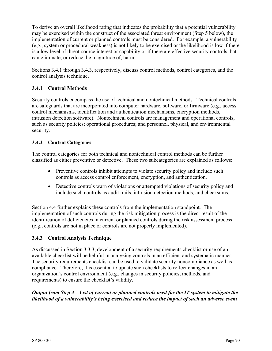To derive an overall likelihood rating that indicates the probability that a potential vulnerability may be exercised within the construct of the associated threat environment (Step 5 below), the implementation of current or planned controls must be considered. For example, a vulnerability (e.g., system or procedural weakness) is not likely to be exercised or the likelihood is low if there is a low level of threat-source interest or capability or if there are effective security controls that can eliminate, or reduce the magnitude of, harm.

Sections 3.4.1 through 3.4.3, respectively, discuss control methods, control categories, and the control analysis technique.

# **3.4.1 Control Methods**

Security controls encompass the use of technical and nontechnical methods. Technical controls are safeguards that are incorporated into computer hardware, software, or firmware (e.g., access control mechanisms, identification and authentication mechanisms, encryption methods, intrusion detection software). Nontechnical controls are management and operational controls, such as security policies; operational procedures; and personnel, physical, and environmental security.

# **3.4.2 Control Categories**

The control categories for both technical and nontechnical control methods can be further classified as either preventive or detective. These two subcategories are explained as follows:

- Preventive controls inhibit attempts to violate security policy and include such controls as access control enforcement, encryption, and authentication.
- Detective controls warn of violations or attempted violations of security policy and include such controls as audit trails, intrusion detection methods, and checksums.

Section 4.4 further explains these controls from the implementation standpoint. The implementation of such controls during the risk mitigation process is the direct result of the identification of deficiencies in current or planned controls during the risk assessment process (e.g., controls are not in place or controls are not properly implemented).

# **3.4.3 Control Analysis Technique**

As discussed in Section 3.3.3, development of a security requirements checklist or use of an available checklist will be helpful in analyzing controls in an efficient and systematic manner. The security requirements checklist can be used to validate security noncompliance as well as compliance. Therefore, it is essential to update such checklists to reflect changes in an organization's control environment (e.g., changes in security policies, methods, and requirements) to ensure the checklist's validity.

## *Output from Step 4List of current or planned controls used for the IT system to mitigate the likelihood of a vulnerability's being exercised and reduce the impact of such an adverse event*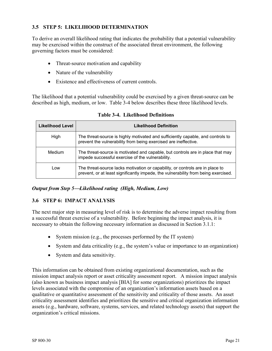# **3.5 STEP 5: LIKELIHOOD DETERMINATION**

To derive an overall likelihood rating that indicates the probability that a potential vulnerability may be exercised within the construct of the associated threat environment, the following governing factors must be considered:

- Threat-source motivation and capability
- Nature of the vulnerability
- Existence and effectiveness of current controls.

The likelihood that a potential vulnerability could be exercised by a given threat-source can be described as high, medium, or low. Table 3-4 below describes these three likelihood levels.

| <b>Likelihood Level</b> | <b>Likelihood Definition</b>                                                                                                                                        |
|-------------------------|---------------------------------------------------------------------------------------------------------------------------------------------------------------------|
| High                    | The threat-source is highly motivated and sufficiently capable, and controls to<br>prevent the vulnerability from being exercised are ineffective.                  |
| <b>Medium</b>           | The threat-source is motivated and capable, but controls are in place that may<br>impede successful exercise of the vulnerability.                                  |
| Low                     | The threat-source lacks motivation or capability, or controls are in place to<br>prevent, or at least significantly impede, the vulnerability from being exercised. |

**Table 3-4. Likelihood Definitions** 

#### *Output from Step 5Likelihood rating (High, Medium, Low)*

# **3.6 STEP 6: IMPACT ANALYSIS**

The next major step in measuring level of risk is to determine the adverse impact resulting from a successful threat exercise of a vulnerability. Before beginning the impact analysis, it is necessary to obtain the following necessary information as discussed in Section 3.1.1:

- System mission (e.g., the processes performed by the IT system)
- System and data criticality (e.g., the system's value or importance to an organization)
- System and data sensitivity.

This information can be obtained from existing organizational documentation, such as the mission impact analysis report or asset criticality assessment report. A mission impact analysis (also known as business impact analysis [BIA] for some organizations) prioritizes the impact levels associated with the compromise of an organization's information assets based on a qualitative or quantitative assessment of the sensitivity and criticality of those assets. An asset criticality assessment identifies and prioritizes the sensitive and critical organization information assets (e.g., hardware, software, systems, services, and related technology assets) that support the organization's critical missions.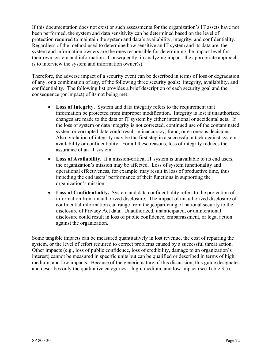If this documentation does not exist or such assessments for the organization's IT assets have not been performed, the system and data sensitivity can be determined based on the level of protection required to maintain the system and data's availability, integrity, and confidentiality. Regardless of the method used to determine how sensitive an IT system and its data are, the system and information owners are the ones responsible for determining the impact level for their own system and information. Consequently, in analyzing impact, the appropriate approach is to interview the system and information owner(s).

Therefore, the adverse impact of a security event can be described in terms of loss or degradation of any, or a combination of any, of the following three security goals: integrity, availability, and confidentiality. The following list provides a brief description of each security goal and the consequence (or impact) of its not being met:

- **Loss of Integrity.** System and data integrity refers to the requirement that information be protected from improper modification. Integrity is lost if unauthorized changes are made to the data or IT system by either intentional or accidental acts. If the loss of system or data integrity is not corrected, continued use of the contaminated system or corrupted data could result in inaccuracy, fraud, or erroneous decisions. Also, violation of integrity may be the first step in a successful attack against system availability or confidentiality. For all these reasons, loss of integrity reduces the assurance of an IT system.
- **Loss of Availability.** If a mission-critical IT system is unavailable to its end users, the organization's mission may be affected. Loss of system functionality and operational effectiveness, for example, may result in loss of productive time, thus impeding the end users' performance of their functions in supporting the organization's mission.
- Loss of Confidentiality. System and data confidentiality refers to the protection of information from unauthorized disclosure. The impact of unauthorized disclosure of confidential information can range from the jeopardizing of national security to the disclosure of Privacy Act data. Unauthorized, unanticipated, or unintentional disclosure could result in loss of public confidence, embarrassment, or legal action against the organization.

Some tangible impacts can be measured quantitatively in lost revenue, the cost of repairing the system, or the level of effort required to correct problems caused by a successful threat action. Other impacts (e.g., loss of public confidence, loss of credibility, damage to an organization's interest) cannot be measured in specific units but can be qualified or described in terms of high, medium, and low impacts. Because of the generic nature of this discussion, this guide designates and describes only the qualitative categories—high, medium, and low impact (see Table 3.5).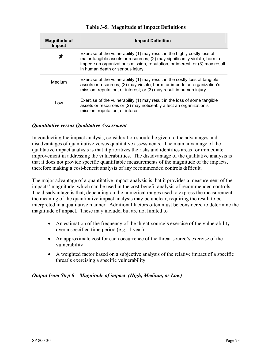| Magnitude of<br>Impact | <b>Impact Definition</b>                                                                                                                                                                                                                                                      |
|------------------------|-------------------------------------------------------------------------------------------------------------------------------------------------------------------------------------------------------------------------------------------------------------------------------|
| High                   | Exercise of the vulnerability (1) may result in the highly costly loss of<br>major tangible assets or resources; (2) may significantly violate, harm, or<br>impede an organization's mission, reputation, or interest; or (3) may result<br>in human death or serious injury. |
| Medium                 | Exercise of the vulnerability (1) may result in the costly loss of tangible<br>assets or resources; (2) may violate, harm, or impede an organization's<br>mission, reputation, or interest; or (3) may result in human injury.                                                |
| Low                    | Exercise of the vulnerability (1) may result in the loss of some tangible<br>assets or resources or (2) may noticeably affect an organization's<br>mission, reputation, or interest.                                                                                          |

# **Table 3-5. Magnitude of Impact Definitions**

#### *Quantitative versus Qualitative Assessment*

In conducting the impact analysis, consideration should be given to the advantages and disadvantages of quantitative versus qualitative assessments. The main advantage of the qualitative impact analysis is that it prioritizes the risks and identifies areas for immediate improvement in addressing the vulnerabilities. The disadvantage of the qualitative analysis is that it does not provide specific quantifiable measurements of the magnitude of the impacts, therefore making a cost-benefit analysis of any recommended controls difficult.

The major advantage of a quantitative impact analysis is that it provides a measurement of the impacts' magnitude, which can be used in the cost-benefit analysis of recommended controls. The disadvantage is that, depending on the numerical ranges used to express the measurement, the meaning of the quantitative impact analysis may be unclear, requiring the result to be interpreted in a qualitative manner. Additional factors often must be considered to determine the magnitude of impact. These may include, but are not limited to—

- An estimation of the frequency of the threat-source's exercise of the vulnerability over a specified time period (e.g., 1 year)
- An approximate cost for each occurrence of the threat-source's exercise of the vulnerability
- A weighted factor based on a subjective analysis of the relative impact of a specific threat's exercising a specific vulnerability.

#### *Output from Step 6Magnitude of impact (High, Medium, or Low)*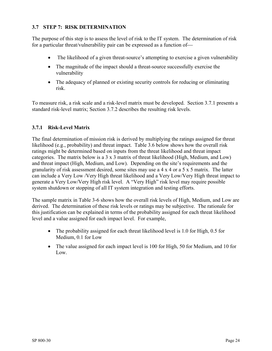# **3.7 STEP 7: RISK DETERMINATION**

The purpose of this step is to assess the level of risk to the IT system. The determination of risk for a particular threat/vulnerability pair can be expressed as a function of

- The likelihood of a given threat-source's attempting to exercise a given vulnerability
- The magnitude of the impact should a threat-source successfully exercise the vulnerability
- The adequacy of planned or existing security controls for reducing or eliminating risk.

To measure risk, a risk scale and a risk-level matrix must be developed. Section 3.7.1 presents a standard risk-level matrix; Section 3.7.2 describes the resulting risk levels.

## **3.7.1 Risk-Level Matrix**

The final determination of mission risk is derived by multiplying the ratings assigned for threat likelihood (e.g., probability) and threat impact. Table 3.6 below shows how the overall risk ratings might be determined based on inputs from the threat likelihood and threat impact categories. The matrix below is a 3 x 3 matrix of threat likelihood (High, Medium, and Low) and threat impact (High, Medium, and Low). Depending on the site's requirements and the granularity of risk assessment desired, some sites may use a 4 x 4 or a 5 x 5 matrix. The latter can include a Very Low /Very High threat likelihood and a Very Low/Very High threat impact to generate a Very Low/Very High risk level. A "Very High" risk level may require possible system shutdown or stopping of all IT system integration and testing efforts.

The sample matrix in Table 3-6 shows how the overall risk levels of High, Medium, and Low are derived. The determination of these risk levels or ratings may be subjective. The rationale for this justification can be explained in terms of the probability assigned for each threat likelihood level and a value assigned for each impact level. For example,

- The probability assigned for each threat likelihood level is 1.0 for High, 0.5 for Medium, 0.1 for Low
- The value assigned for each impact level is 100 for High, 50 for Medium, and 10 for Low.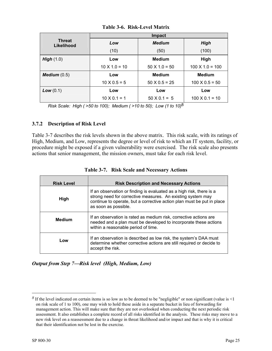|                             | <b>Impact</b>        |                      |                        |  |  |  |
|-----------------------------|----------------------|----------------------|------------------------|--|--|--|
| <b>Threat</b><br>Likelihood | Low                  | <b>Medium</b>        | <b>High</b>            |  |  |  |
|                             | (10)                 | (50)                 | (100)                  |  |  |  |
| High(1.0)                   | Low                  | <b>Medium</b>        | High                   |  |  |  |
|                             | $10 \times 1.0 = 10$ | $50 \times 1.0 = 50$ | $100 \times 1.0 = 100$ |  |  |  |
| Median (0.5)                | Low                  | <b>Medium</b>        | <b>Medium</b>          |  |  |  |
|                             | $10 \times 0.5 = 5$  | $50 \times 0.5 = 25$ | $100 \times 0.5 = 50$  |  |  |  |
| Low(0.1)                    | Low                  | Low                  | Low                    |  |  |  |
|                             | $10 \times 0.1 = 1$  | $50 \times 0.1 = 5$  | $100 \times 0.1 = 10$  |  |  |  |

**Table 3-6. Risk-Level Matrix** 

*Risk Scale: High ( >50 to 100); Medium ( >10 to 50); Low (1 to 10)*8

#### **3.7.2 Description of Risk Level**

Table 3-7 describes the risk levels shown in the above matrix. This risk scale, with its ratings of High, Medium, and Low, represents the degree or level of risk to which an IT system, facility, or procedure might be exposed if a given vulnerability were exercised. The risk scale also presents actions that senior management, the mission owners, must take for each risk level.

| <b>Risk Level</b> | <b>Risk Description and Necessary Actions</b>                                                                                                                                                                                         |
|-------------------|---------------------------------------------------------------------------------------------------------------------------------------------------------------------------------------------------------------------------------------|
| High              | If an observation or finding is evaluated as a high risk, there is a<br>strong need for corrective measures. An existing system may<br>continue to operate, but a corrective action plan must be put in place<br>as soon as possible. |
| <b>Medium</b>     | If an observation is rated as medium risk, corrective actions are<br>needed and a plan must be developed to incorporate these actions<br>within a reasonable period of time.                                                          |
| Low               | If an observation is described as low risk, the system's DAA must<br>determine whether corrective actions are still required or decide to<br>accept the risk.                                                                         |

| Table 3-7. Risk Scale and Necessary Actions |
|---------------------------------------------|
|---------------------------------------------|

*Output from Step 7—Risk level (High, Medium, Low)* 

 $\overline{a}$ 

 $\delta$  If the level indicated on certain items is so low as to be deemed to be "negligible" or non significant (value is  $\leq 1$ ) on risk scale of 1 to 100), one may wish to hold these aside in a separate bucket in lieu of forwarding for management action. This will make sure that they are not overlooked when conducting the next periodic risk assessment. It also establishes a complete record of all risks identified in the analysis. These risks may move to a new risk level on a reassessment due to a change in threat likelihood and/or impact and that is why it is critical that their identification not be lost in the exercise.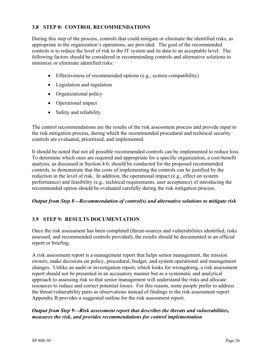## **3.8 STEP 8: CONTROL RECOMMENDATIONS**

During this step of the process, controls that could mitigate or eliminate the identified risks, as appropriate to the organization's operations, are provided. The goal of the recommended controls is to reduce the level of risk to the IT system and its data to an acceptable level. The following factors should be considered in recommending controls and alternative solutions to minimize or eliminate identified risks:

- Effectiveness of recommended options (e.g., system compatibility)
- Legislation and regulation
- Organizational policy
- Operational impact
- Safety and reliability.

The control recommendations are the results of the risk assessment process and provide input to the risk mitigation process, during which the recommended procedural and technical security controls are evaluated, prioritized, and implemented.

It should be noted that not all possible recommended controls can be implemented to reduce loss. To determine which ones are required and appropriate for a specific organization, a cost-benefit analysis, as discussed in Section 4.6, should be conducted for the proposed recommended controls, to demonstrate that the costs of implementing the controls can be justified by the reduction in the level of risk. In addition, the operational impact (e.g., effect on system performance) and feasibility (e.g., technical requirements, user acceptance) of introducing the recommended option should be evaluated carefully during the risk mitigation process.

#### *Output from Step 8Recommendation of control(s) and alternative solutions to mitigate risk*

#### **3.9 STEP 9: RESULTS DOCUMENTATION**

Once the risk assessment has been completed (threat-sources and vulnerabilities identified, risks assessed, and recommended controls provided), the results should be documented in an official report or briefing.

A risk assessment report is a management report that helps senior management, the mission owners, make decisions on policy, procedural, budget, and system operational and management changes. Unlike an audit or investigation report, which looks for wrongdoing, a risk assessment report should not be presented in an accusatory manner but as a systematic and analytical approach to assessing risk so that senior management will understand the risks and allocate resources to reduce and correct potential losses. For this reason, some people prefer to address the threat/vulnerability pairs as observations instead of findings in the risk assessment report. Appendix B provides a suggested outline for the risk assessment report.

## *Output from Step 9—Risk assessment report that describes the threats and vulnerabilities, measures the risk, and provides recommendations for control implementation*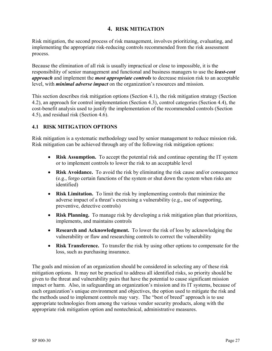# **4. RISK MITIGATION**

Risk mitigation, the second process of risk management, involves prioritizing, evaluating, and implementing the appropriate risk-reducing controls recommended from the risk assessment process.

Because the elimination of all risk is usually impractical or close to impossible, it is the responsibility of senior management and functional and business managers to use the *least-cost approach* and implement the *most appropriate controls* to decrease mission risk to an acceptable level, with *minimal adverse impact* on the organization's resources and mission.

This section describes risk mitigation options (Section 4.1), the risk mitigation strategy (Section 4.2), an approach for control implementation (Section 4.3), control categories (Section 4.4), the cost-benefit analysis used to justify the implementation of the recommended controls (Section 4.5), and residual risk (Section 4.6).

# **4.1 RISK MITIGATION OPTIONS**

Risk mitigation is a systematic methodology used by senior management to reduce mission risk. Risk mitigation can be achieved through any of the following risk mitigation options:

- **Risk Assumption.** To accept the potential risk and continue operating the IT system or to implement controls to lower the risk to an acceptable level
- **Risk Avoidance.** To avoid the risk by eliminating the risk cause and/or consequence (e.g., forgo certain functions of the system or shut down the system when risks are identified)
- **Risk Limitation.** To limit the risk by implementing controls that minimize the adverse impact of a threat's exercising a vulnerability (e.g., use of supporting, preventive, detective controls)
- **Risk Planning.** To manage risk by developing a risk mitigation plan that prioritizes, implements, and maintains controls
- **Research and Acknowledgment.** To lower the risk of loss by acknowledging the vulnerability or flaw and researching controls to correct the vulnerability
- **Risk Transference.** To transfer the risk by using other options to compensate for the loss, such as purchasing insurance.

The goals and mission of an organization should be considered in selecting any of these risk mitigation options. It may not be practical to address all identified risks, so priority should be given to the threat and vulnerability pairs that have the potential to cause significant mission impact or harm. Also, in safeguarding an organization's mission and its IT systems, because of each organization's unique environment and objectives, the option used to mitigate the risk and the methods used to implement controls may vary. The "best of breed" approach is to use appropriate technologies from among the various vendor security products, along with the appropriate risk mitigation option and nontechnical, administrative measures.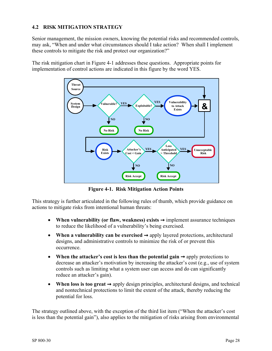# **4.2 RISK MITIGATION STRATEGY**

Senior management, the mission owners, knowing the potential risks and recommended controls, may ask, "When and under what circumstances should I take action? When shall I implement these controls to mitigate the risk and protect our organization?"

The risk mitigation chart in Figure 4-1 addresses these questions. Appropriate points for implementation of control actions are indicated in this figure by the word YES.



**Figure 4-1. Risk Mitigation Action Points** 

This strategy is further articulated in the following rules of thumb, which provide guidance on actions to mitigate risks from intentional human threats:

- **When vulnerability (or flaw, weakness) exists →** implement assurance techniques to reduce the likelihood of a vulnerability's being exercised.
- When a vulnerability can be exercised → apply layered protections, architectural designs, and administrative controls to minimize the risk of or prevent this occurrence.
- When the attacker's cost is less than the potential gain → apply protections to decrease an attacker's motivation by increasing the attacker's cost (e.g., use of system controls such as limiting what a system user can access and do can significantly reduce an attacker's gain).
- When loss is too great → apply design principles, architectural designs, and technical and nontechnical protections to limit the extent of the attack, thereby reducing the potential for loss.

The strategy outlined above, with the exception of the third list item ("When the attacker's cost is less than the potential gain"), also applies to the mitigation of risks arising from environmental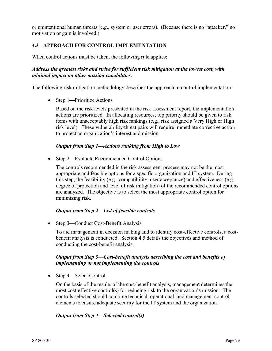or unintentional human threats (e.g., system or user errors). (Because there is no "attacker," no motivation or gain is involved.)

#### **4.3 APPROACH FOR CONTROL IMPLEMENTATION**

When control actions must be taken, the following rule applies:

#### *Address the greatest risks and strive for sufficient risk mitigation at the lowest cost, with minimal impact on other mission capabilities.*

The following risk mitigation methodology describes the approach to control implementation:

• Step 1—Prioritize Actions

Based on the risk levels presented in the risk assessment report, the implementation actions are prioritized. In allocating resources, top priority should be given to risk items with unacceptably high risk rankings (e.g., risk assigned a Very High or High risk level). These vulnerability/threat pairs will require immediate corrective action to protect an organization's interest and mission.

#### *Output from Step 1Actions ranking from High to Low*

• Step 2—Evaluate Recommended Control Options

The controls recommended in the risk assessment process may not be the most appropriate and feasible options for a specific organization and IT system. During this step, the feasibility (e.g., compatibility, user acceptance) and effectiveness (e.g., degree of protection and level of risk mitigation) of the recommended control options are analyzed. The objective is to select the most appropriate control option for minimizing risk.

#### *Output from Step 2List of feasible controls*

• Step 3—Conduct Cost-Benefit Analysis

To aid management in decision making and to identify cost-effective controls, a costbenefit analysis is conducted. Section 4.5 details the objectives and method of conducting the cost-benefit analysis.

#### *Output from Step 3Cost-benefit analysis describing the cost and benefits of implementing or not implementing the controls*

• Step  $4$ —Select Control

On the basis of the results of the cost-benefit analysis, management determines the most cost-effective control(s) for reducing risk to the organization's mission. The controls selected should combine technical, operational, and management control elements to ensure adequate security for the IT system and the organization.

#### *Output from Step 4—Selected control(s)*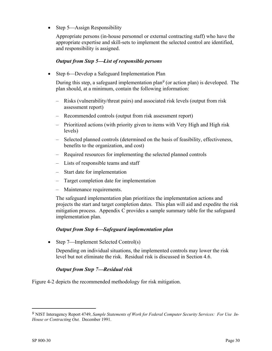• Step 5—Assign Responsibility

Appropriate persons (in-house personnel or external contracting staff) who have the appropriate expertise and skill-sets to implement the selected control are identified, and responsibility is assigned.

#### *Output from Step 5List of responsible persons*

• Step 6—Develop a Safeguard Implementation Plan

During this step, a safeguard implementation plan*9* (or action plan) is developed. The plan should, at a minimum, contain the following information:

- Risks (vulnerability/threat pairs) and associated risk levels (output from risk assessment report)
- Recommended controls (output from risk assessment report)
- Prioritized actions (with priority given to items with Very High and High risk levels)
- Selected planned controls (determined on the basis of feasibility, effectiveness, benefits to the organization, and cost)
- Required resources for implementing the selected planned controls
- Lists of responsible teams and staff
- Start date for implementation
- Target completion date for implementation
- Maintenance requirements.

The safeguard implementation plan prioritizes the implementation actions and projects the start and target completion dates. This plan will aid and expedite the risk mitigation process. Appendix C provides a sample summary table for the safeguard implementation plan.

#### *Output from Step 6Safeguard implementation plan*

• Step  $7$ —Implement Selected Control(s)

Depending on individual situations, the implemented controls may lower the risk level but not eliminate the risk. Residual risk is discussed in Section 4.6.

#### *Output from Step 7—Residual risk*

Figure 4-2 depicts the recommended methodology for risk mitigation.

 $\overline{a}$ 

*<sup>9</sup>* NIST Interagency Report 4749, *Sample Statements of Work for Federal Computer Security Services: For Use In-House or Contracting Out.* December 1991.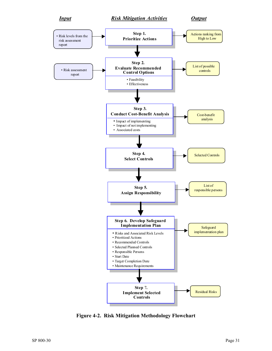

**Figure 4-2. Risk Mitigation Methodology Flowchart**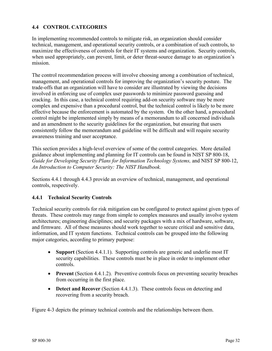# **4.4 CONTROL CATEGORIES**

In implementing recommended controls to mitigate risk, an organization should consider technical, management, and operational security controls, or a combination of such controls, to maximize the effectiveness of controls for their IT systems and organization. Security controls, when used appropriately, can prevent, limit, or deter threat-source damage to an organization's mission.

The control recommendation process will involve choosing among a combination of technical, management, and operational controls for improving the organization's security posture. The trade-offs that an organization will have to consider are illustrated by viewing the decisions involved in enforcing use of complex user passwords to minimize password guessing and cracking. In this case, a technical control requiring add-on security software may be more complex and expensive than a procedural control, but the technical control is likely to be more effective because the enforcement is automated by the system. On the other hand, a procedural control might be implemented simply by means of a memorandum to all concerned individuals and an amendment to the security guidelines for the organization, but ensuring that users consistently follow the memorandum and guideline will be difficult and will require security awareness training and user acceptance.

This section provides a high-level overview of some of the control categories. More detailed guidance about implementing and planning for IT controls can be found in NIST SP 800-18, *Guide for Developing Security Plans for Information Technology Systems,* and NIST SP 800-12, *An Introduction to Computer Security: The NIST Handbook.* 

Sections 4.4.1 through 4.4.3 provide an overview of technical, management, and operational controls, respectively.

#### **4.4.1 Technical Security Controls**

Technical security controls for risk mitigation can be configured to protect against given types of threats. These controls may range from simple to complex measures and usually involve system architectures; engineering disciplines; and security packages with a mix of hardware, software, and firmware. All of these measures should work together to secure critical and sensitive data, information, and IT system functions. Technical controls can be grouped into the following major categories, according to primary purpose:

- **Support** (Section 4.4.1.1). Supporting controls are generic and underlie most IT security capabilities. These controls must be in place in order to implement other controls.
- **Prevent** (Section 4.4.1.2). Preventive controls focus on preventing security breaches from occurring in the first place.
- **Detect and Recover** (Section 4.4.1.3). These controls focus on detecting and recovering from a security breach.

Figure 4-3 depicts the primary technical controls and the relationships between them.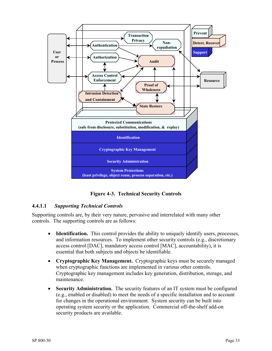

**Figure 4-3. Technical Security Controls** 

# **4.4.1.1** *Supporting Technical Controls*

Supporting controls are, by their very nature, pervasive and interrelated with many other controls. The supporting controls are as follows:

- **Identification.** This control provides the ability to uniquely identify users, processes, and information resources. To implement other security controls (e.g., discretionary access control [DAC], mandatory access control [MAC], accountability), it is essential that both subjects and objects be identifiable.
- **Cryptographic Key Management.** Cryptographic keys must be securely managed when cryptographic functions are implemented in various other controls. Cryptographic key management includes key generation, distribution, storage, and maintenance.
- **Security Administration.** The security features of an IT system must be configured (e.g., enabled or disabled) to meet the needs of a specific installation and to account for changes in the operational environment. System security can be built into operating system security or the application. Commercial off-the-shelf add-on security products are available.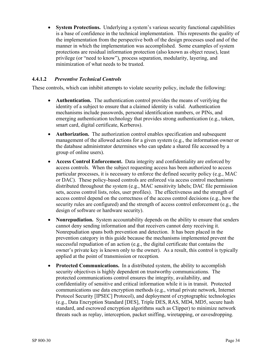• **System Protections.** Underlying a system's various security functional capabilities is a base of confidence in the technical implementation. This represents the quality of the implementation from the perspective both of the design processes used and of the manner in which the implementation was accomplished. Some examples of system protections are residual information protection (also known as object reuse), least privilege (or "need to know"), process separation, modularity, layering, and minimization of what needs to be trusted.

#### **4.4.1.2** *Preventive Technical Controls*

These controls, which can inhibit attempts to violate security policy, include the following:

- **Authentication.** The authentication control provides the means of verifying the identity of a subject to ensure that a claimed identity is valid. Authentication mechanisms include passwords, personal identification numbers, or PINs, and emerging authentication technology that provides strong authentication (e.g., token, smart card, digital certificate, Kerberos).
- **Authorization.** The authorization control enables specification and subsequent management of the allowed actions for a given system (e.g., the information owner or the database administrator determines who can update a shared file accessed by a group of online users).
- **Access Control Enforcement.** Data integrity and confidentiality are enforced by access controls. When the subject requesting access has been authorized to access particular processes, it is necessary to enforce the defined security policy (e.g., MAC or DAC). These policy-based controls are enforced via access control mechanisms distributed throughout the system (e.g., MAC sensitivity labels; DAC file permission sets, access control lists, roles, user profiles). The effectiveness and the strength of access control depend on the correctness of the access control decisions (e.g., how the security rules are configured) and the strength of access control enforcement (e.g., the design of software or hardware security).
- **Nonrepudiation.** System accountability depends on the ability to ensure that senders cannot deny sending information and that receivers cannot deny receiving it. Nonrepudiation spans both prevention and detection. It has been placed in the prevention category in this guide because the mechanisms implemented prevent the successful repudiation of an action (e.g., the digital certificate that contains the owner's private key is known only to the owner). As a result, this control is typically applied at the point of transmission or reception.
- **Protected Communications.** In a distributed system, the ability to accomplish security objectives is highly dependent on trustworthy communications. The protected communications control ensures the integrity, availability, and confidentiality of sensitive and critical information while it is in transit. Protected communications use data encryption methods (e.g., virtual private network, Internet Protocol Security [IPSEC] Protocol), and deployment of cryptographic technologies (e.g., Data Encryption Standard [DES], Triple DES, RAS, MD4, MD5, secure hash standard, and escrowed encryption algorithms such as Clipper) to minimize network threats such as replay, interception, packet sniffing, wiretapping, or eavesdropping.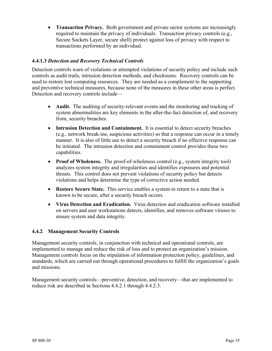• **Transaction Privacy.** Both government and private sector systems are increasingly required to maintain the privacy of individuals. Transaction privacy controls (e.g., Secure Sockets Layer, secure shell) protect against loss of privacy with respect to transactions performed by an individual.

#### **4.4.1.3** *Detection and Recovery Technical Controls*

Detection controls warn of violations or attempted violations of security policy and include such controls as audit trails, intrusion detection methods, and checksums. Recovery controls can be used to restore lost computing resources. They are needed as a complement to the supporting and preventive technical measures, because none of the measures in these other areas is perfect. Detection and recovery controls include—

- **Audit.** The auditing of security-relevant events and the monitoring and tracking of system abnormalities are key elements in the after-the-fact detection of, and recovery from, security breaches.
- **Intrusion Detection and Containment.** It is essential to detect security breaches (e.g., network break-ins, suspicious activities) so that a response can occur in a timely manner. It is also of little use to detect a security breach if no effective response can be initiated. The intrusion detection and containment control provides these two capabilities.
- **Proof of Wholeness.** The proof-of-wholeness control (e.g., system integrity tool) analyzes system integrity and irregularities and identifies exposures and potential threats. This control does not prevent violations of security policy but detects violations and helps determine the type of corrective action needed.
- **Restore Secure State.** This service enables a system to return to a state that is known to be secure, after a security breach occurs.
- **Virus Detection and Eradication.** Virus detection and eradication software installed on servers and user workstations detects, identifies, and removes software viruses to ensure system and data integrity.

#### **4.4.2 Management Security Controls**

Management security controls, in conjunction with technical and operational controls, are implemented to manage and reduce the risk of loss and to protect an organization's mission. Management controls focus on the stipulation of information protection policy, guidelines, and standards, which are carried out through operational procedures to fulfill the organization's goals and missions.

Management security controls—preventive, detection, and recovery—that are implemented to reduce risk are described in Sections 4.4.2.1 through 4.4.2.3.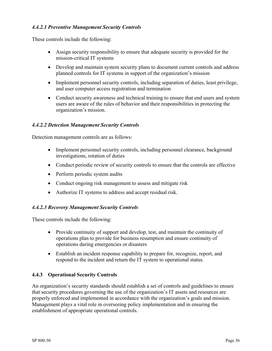#### *4.4.2.1 Preventive Management Security Controls*

These controls include the following:

- Assign security responsibility to ensure that adequate security is provided for the mission-critical IT systems
- Develop and maintain system security plans to document current controls and address planned controls for IT systems in support of the organization's mission
- Implement personnel security controls, including separation of duties, least privilege, and user computer access registration and termination
- Conduct security awareness and technical training to ensure that end users and system users are aware of the rules of behavior and their responsibilities in protecting the organization's mission.

#### *4.4.2.2 Detection Management Security Controls*

Detection management controls are as follows:

- Implement personnel security controls, including personnel clearance, background investigations, rotation of duties
- Conduct periodic review of security controls to ensure that the controls are effective
- Perform periodic system audits
- Conduct ongoing risk management to assess and mitigate risk
- Authorize IT systems to address and accept residual risk.

#### *4.4.2.3 Recovery Management Security Controls*

These controls include the following:

- Provide continuity of support and develop, test, and maintain the continuity of operations plan to provide for business resumption and ensure continuity of operations during emergencies or disasters
- Establish an incident response capability to prepare for, recognize, report, and respond to the incident and return the IT system to operational status.

#### **4.4.3 Operational Security Controls**

An organization's security standards should establish a set of controls and guidelines to ensure that security procedures governing the use of the organization's IT assets and resources are properly enforced and implemented in accordance with the organization's goals and mission. Management plays a vital role in overseeing policy implementation and in ensuring the establishment of appropriate operational controls.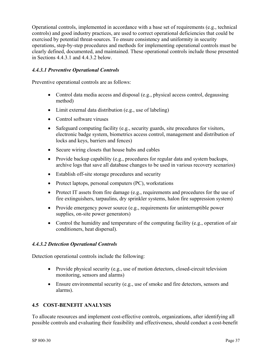Operational controls, implemented in accordance with a base set of requirements (e.g., technical controls) and good industry practices, are used to correct operational deficiencies that could be exercised by potential threat-sources. To ensure consistency and uniformity in security operations, step-by-step procedures and methods for implementing operational controls must be clearly defined, documented, and maintained. These operational controls include those presented in Sections 4.4.3.1 and 4.4.3.2 below.

#### *4.4.3.1 Preventive Operational Controls*

Preventive operational controls are as follows:

- Control data media access and disposal (e.g., physical access control, degaussing method)
- Limit external data distribution (e.g., use of labeling)
- Control software viruses
- Safeguard computing facility (e.g., security guards, site procedures for visitors, electronic badge system, biometrics access control, management and distribution of locks and keys, barriers and fences)
- Secure wiring closets that house hubs and cables
- Provide backup capability (e.g., procedures for regular data and system backups, archive logs that save all database changes to be used in various recovery scenarios)
- Establish off-site storage procedures and security
- Protect laptops, personal computers (PC), workstations
- Protect IT assets from fire damage (e.g., requirements and procedures for the use of fire extinguishers, tarpaulins, dry sprinkler systems, halon fire suppression system)
- Provide emergency power source (e.g., requirements for uninterruptible power supplies, on-site power generators)
- Control the humidity and temperature of the computing facility (e.g., operation of air conditioners, heat dispersal).

#### *4.4.3.2 Detection Operational Controls*

Detection operational controls include the following:

- Provide physical security (e.g., use of motion detectors, closed-circuit television monitoring, sensors and alarms)
- Ensure environmental security (e.g., use of smoke and fire detectors, sensors and alarms).

# **4.5 COST-BENEFIT ANALYSIS**

To allocate resources and implement cost-effective controls, organizations, after identifying all possible controls and evaluating their feasibility and effectiveness, should conduct a cost-benefit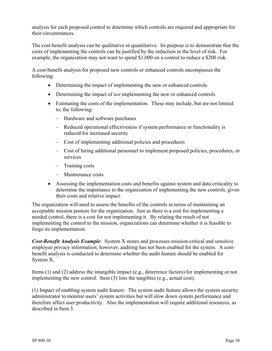analysis for each proposed control to determine which controls are required and appropriate for their circumstances.

The cost-benefit analysis can be qualitative or quantitative. Its purpose is to demonstrate that the costs of implementing the controls can be justified by the reduction in the level of risk. For example, the organization may not want to spend \$1,000 on a control to reduce a \$200 risk.

A cost-benefit analysis for proposed new controls or enhanced controls encompasses the following:

- Determining the impact of implementing the new or enhanced controls
- Determining the impact of *not* implementing the new or enhanced controls
- Estimating the costs of the implementation. These may include, but are not limited to, the following:
	- Hardware and software purchases
	- Reduced operational effectiveness if system performance or functionality is reduced for increased security
	- Cost of implementing additional policies and procedures
	- Cost of hiring additional personnel to implement proposed policies, procedures, or services
	- Training costs
	- Maintenance costs
- Assessing the implementation costs and benefits against system and data criticality to determine the importance to the organization of implementing the new controls, given their costs and relative impact.

The organization will need to assess the benefits of the controls in terms of maintaining an acceptable mission posture for the organization. Just as there is a cost for implementing a needed control, there is a cost for not implementing it. By relating the result of not implementing the control to the mission, organizations can determine whether it is feasible to forgo its implementation.

*Cost-Benefit Analysis Example*: System X stores and processes mission-critical and sensitive employee privacy information; however, auditing has not been enabled for the system. A costbenefit analysis is conducted to determine whether the audit feature should be enabled for System X.

Items (1) and (2) address the intangible impact (e.g., deterrence factors) for implementing or not implementing the new control. Item (3) lists the tangibles (e.g., actual cost).

(1) Impact of enabling system audit feature: The system audit feature allows the system security administrator to monitor users' system activities but will slow down system performance and therefore affect user productivity. Also the implementation will require additional resources, as described in Item 3.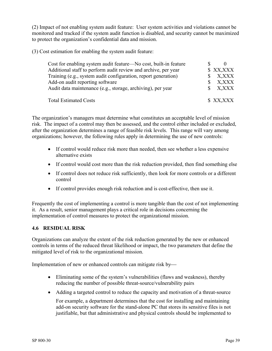(2) Impact of not enabling system audit feature: User system activities and violations cannot be monitored and tracked if the system audit function is disabled, and security cannot be maximized to protect the organization's confidential data and mission.

(3) Cost estimation for enabling the system audit feature:

| Cost for enabling system audit feature—No cost, built-in feature |          |
|------------------------------------------------------------------|----------|
| Additional staff to perform audit review and archive, per year   | \$XX,XXX |
| Training (e.g., system audit configuration, report generation)   | X,XXX    |
| Add-on audit reporting software                                  | X,XXX    |
| Audit data maintenance (e.g., storage, archiving), per year      | X,XXX    |
| <b>Total Estimated Costs</b>                                     | \$XX,XXX |

The organization's managers must determine what constitutes an acceptable level of mission risk. The impact of a control may then be assessed, and the control either included or excluded, after the organization determines a range of feasible risk levels. This range will vary among organizations; however, the following rules apply in determining the use of new controls:

- If control would reduce risk more than needed, then see whether a less expensive alternative exists
- If control would cost more than the risk reduction provided, then find something else
- If control does not reduce risk sufficiently, then look for more controls or a different control
- If control provides enough risk reduction and is cost-effective, then use it.

Frequently the cost of implementing a control is more tangible than the cost of not implementing it. As a result, senior management plays a critical role in decisions concerning the implementation of control measures to protect the organizational mission.

# **4.6 RESIDUAL RISK**

Organizations can analyze the extent of the risk reduction generated by the new or enhanced controls in terms of the reduced threat likelihood or impact, the two parameters that define the mitigated level of risk to the organizational mission.

Implementation of new or enhanced controls can mitigate risk by

- Eliminating some of the system's vulnerabilities (flaws and weakness), thereby reducing the number of possible threat-source/vulnerability pairs
- Adding a targeted control to reduce the capacity and motivation of a threat-source

For example, a department determines that the cost for installing and maintaining add-on security software for the stand-alone PC that stores its sensitive files is not justifiable, but that administrative and physical controls should be implemented to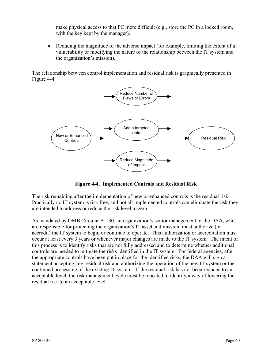make physical access to that PC more difficult (e.g., store the PC in a locked room, with the key kept by the manager).

• Reducing the magnitude of the adverse impact (for example, limiting the extent of a vulnerability or modifying the nature of the relationship between the IT system and the organization's mission).

The relationship between control implementation and residual risk is graphically presented in Figure 4-4.



**Figure 4-4. Implemented Controls and Residual Risk** 

The risk remaining after the implementation of new or enhanced controls is the residual risk. Practically no IT system is risk free, and not all implemented controls can eliminate the risk they are intended to address or reduce the risk level to zero.

As mandated by OMB Circular A-130, an organization's senior management or the DAA, who are responsible for protecting the organization's IT asset and mission, must authorize (or accredit) the IT system to begin or continue to operate. This authorization or accreditation must occur at least every 3 years or whenever major changes are made to the IT system. The intent of this process is to identify risks that are not fully addressed and to determine whether additional controls are needed to mitigate the risks identified in the IT system. For federal agencies, after the appropriate controls have been put in place for the identified risks, the DAA will sign a statement accepting any residual risk and authorizing the operation of the new IT system or the continued processing of the existing IT system. If the residual risk has not been reduced to an acceptable level, the risk management cycle must be repeated to identify a way of lowering the residual risk to an acceptable level.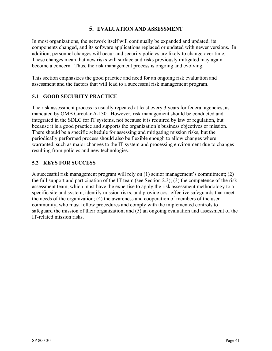# **5. EVALUATION AND ASSESSMENT**

In most organizations, the network itself will continually be expanded and updated, its components changed, and its software applications replaced or updated with newer versions. In addition, personnel changes will occur and security policies are likely to change over time. These changes mean that new risks will surface and risks previously mitigated may again become a concern. Thus, the risk management process is ongoing and evolving.

This section emphasizes the good practice and need for an ongoing risk evaluation and assessment and the factors that will lead to a successful risk management program.

## **5.1 GOOD SECURITY PRACTICE**

The risk assessment process is usually repeated at least every 3 years for federal agencies, as mandated by OMB Circular A-130. However, risk management should be conducted and integrated in the SDLC for IT systems, not because it is required by law or regulation, but because it is a good practice and supports the organization's business objectives or mission. There should be a specific schedule for assessing and mitigating mission risks, but the periodically performed process should also be flexible enough to allow changes where warranted, such as major changes to the IT system and processing environment due to changes resulting from policies and new technologies.

## **5.2 KEYS FOR SUCCESS**

A successful risk management program will rely on (1) senior management's commitment; (2) the full support and participation of the IT team (see Section 2.3); (3) the competence of the risk assessment team, which must have the expertise to apply the risk assessment methodology to a specific site and system, identify mission risks, and provide cost-effective safeguards that meet the needs of the organization; (4) the awareness and cooperation of members of the user community, who must follow procedures and comply with the implemented controls to safeguard the mission of their organization; and (5) an ongoing evaluation and assessment of the IT-related mission risks.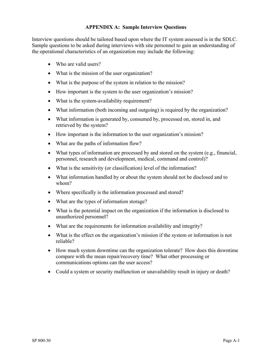#### **APPENDIX A: Sample Interview Questions**

Interview questions should be tailored based upon where the IT system assessed is in the SDLC. Sample questions to be asked during interviews with site personnel to gain an understanding of the operational characteristics of an organization may include the following:

- Who are valid users?
- What is the mission of the user organization?
- What is the purpose of the system in relation to the mission?
- How important is the system to the user organization's mission?
- What is the system-availability requirement?
- What information (both incoming and outgoing) is required by the organization?
- What information is generated by, consumed by, processed on, stored in, and retrieved by the system?
- How important is the information to the user organization's mission?
- What are the paths of information flow?
- What types of information are processed by and stored on the system (e.g., financial, personnel, research and development, medical, command and control)?
- What is the sensitivity (or classification) level of the information?
- What information handled by or about the system should not be disclosed and to whom?
- Where specifically is the information processed and stored?
- What are the types of information storage?
- What is the potential impact on the organization if the information is disclosed to unauthorized personnel?
- What are the requirements for information availability and integrity?
- What is the effect on the organization's mission if the system or information is not reliable?
- How much system downtime can the organization tolerate? How does this downtime compare with the mean repair/recovery time? What other processing or communications options can the user access?
- Could a system or security malfunction or unavailability result in injury or death?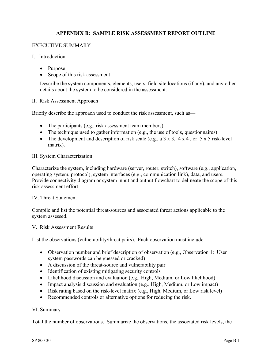#### **APPENDIX B: SAMPLE RISK ASSESSMENT REPORT OUTLINE**

#### EXECUTIVE SUMMARY

- I. Introduction
	- Purpose
	- Scope of this risk assessment

Describe the system components, elements, users, field site locations (if any), and any other details about the system to be considered in the assessment.

#### II. Risk Assessment Approach

Briefly describe the approach used to conduct the risk assessment, such as—

- The participants (e.g., risk assessment team members)
- The technique used to gather information (e.g., the use of tools, questionnaires)
- The development and description of risk scale (e.g., a  $3 \times 3$ ,  $4 \times 4$ , or  $5 \times 5$  risk-level matrix).

#### III. System Characterization

Characterize the system, including hardware (server, router, switch), software (e.g., application, operating system, protocol), system interfaces (e.g., communication link), data, and users. Provide connectivity diagram or system input and output flowchart to delineate the scope of this risk assessment effort.

#### IV. Threat Statement

Compile and list the potential threat-sources and associated threat actions applicable to the system assessed.

#### V. Risk Assessment Results

List the observations (vulnerability/threat pairs). Each observation must include—

- Observation number and brief description of observation (e.g., Observation 1: User system passwords can be guessed or cracked)
- A discussion of the threat-source and vulnerability pair
- Identification of existing mitigating security controls
- Likelihood discussion and evaluation (e.g., High, Medium, or Low likelihood)
- Impact analysis discussion and evaluation (e.g., High, Medium, or Low impact)
- Risk rating based on the risk-level matrix (e.g., High, Medium, or Low risk level)
- Recommended controls or alternative options for reducing the risk.

#### VI. Summary

Total the number of observations. Summarize the observations, the associated risk levels, the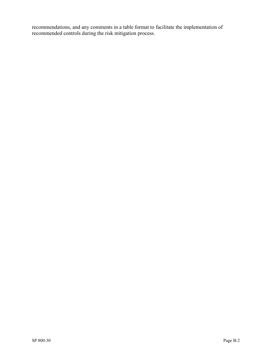recommendations, and any comments in a table format to facilitate the implementation of recommended controls during the risk mitigation process.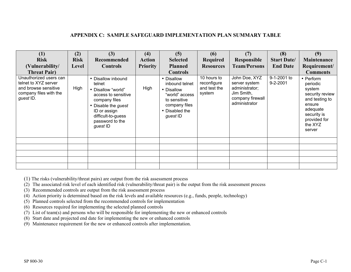#### **APPENDIX C: SAMPLE SAFEGUARD IMPLEMENTATION PLAN SUMMARY TABLE**

| (1)                                                                                                           | (2)         | (3)                                                                                                                                                                                    | (4)             | (5)                                                                                                                         | (6)                                                  | (7)                                                                                                 | (8)                           | (9)                                                                                                                                            |
|---------------------------------------------------------------------------------------------------------------|-------------|----------------------------------------------------------------------------------------------------------------------------------------------------------------------------------------|-----------------|-----------------------------------------------------------------------------------------------------------------------------|------------------------------------------------------|-----------------------------------------------------------------------------------------------------|-------------------------------|------------------------------------------------------------------------------------------------------------------------------------------------|
| <b>Risk</b>                                                                                                   | <b>Risk</b> | <b>Recommended</b>                                                                                                                                                                     | <b>Action</b>   | <b>Selected</b>                                                                                                             | <b>Required</b>                                      | Responsible                                                                                         | <b>Start Date/</b>            | Maintenance                                                                                                                                    |
| (Vulnerability/                                                                                               | Level       | <b>Controls</b>                                                                                                                                                                        | <b>Priority</b> | <b>Planned</b>                                                                                                              | <b>Resources</b>                                     | <b>Team/Persons</b>                                                                                 | <b>End Date</b>               | Requirement/                                                                                                                                   |
| <b>Threat Pair)</b>                                                                                           |             |                                                                                                                                                                                        |                 | <b>Controls</b>                                                                                                             |                                                      |                                                                                                     |                               | <b>Comments</b>                                                                                                                                |
| Unauthorized users can<br>telnet to XYZ server<br>and browse sensitive<br>company files with the<br>guest ID. | High        | • Disallow inbound<br>telnet<br>• Disallow "world"<br>access to sensitive<br>company files<br>• Disable the guest<br>ID or assign<br>difficult-to-guess<br>password to the<br>guest ID | High            | • Disallow<br>inbound telnet<br>• Disallow<br>"world" access<br>to sensitive<br>company files<br>• Disabled the<br>guest ID | 10 hours to<br>reconfigure<br>and test the<br>system | John Doe, XYZ<br>server system<br>administrator;<br>Jim Smith,<br>company firewall<br>administrator | 9-1-2001 to<br>$9 - 2 - 2001$ | • Perform<br>periodic<br>system<br>security review<br>and testing to<br>ensure<br>adequate<br>security is<br>provided for<br>the XYZ<br>server |
|                                                                                                               |             |                                                                                                                                                                                        |                 |                                                                                                                             |                                                      |                                                                                                     |                               |                                                                                                                                                |
|                                                                                                               |             |                                                                                                                                                                                        |                 |                                                                                                                             |                                                      |                                                                                                     |                               |                                                                                                                                                |
|                                                                                                               |             |                                                                                                                                                                                        |                 |                                                                                                                             |                                                      |                                                                                                     |                               |                                                                                                                                                |
|                                                                                                               |             |                                                                                                                                                                                        |                 |                                                                                                                             |                                                      |                                                                                                     |                               |                                                                                                                                                |
|                                                                                                               |             |                                                                                                                                                                                        |                 |                                                                                                                             |                                                      |                                                                                                     |                               |                                                                                                                                                |

(1) The risks (vulnerability/threat pairs) are output from the risk assessment process

- (2) The associated risk level of each identified risk (vulnerability/threat pair) is the output from the risk assessment process
- (3) Recommended controls are output from the risk assessment process
- (4) Action priority is determined based on the risk levels and available resources (e.g., funds, people, technology)
- (5) Planned controls selected from the recommended controls for implementation
- (6) Resources required for implementing the selected planned controls
- $(7)$  List of team(s) and persons who will be responsible for implementing the new or enhanced controls
- (8) Start date and projected end date for implementing the new or enhanced controls
- (9) Maintenance requirement for the new or enhanced controls after implementation.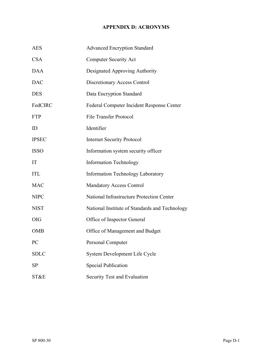# **APPENDIX D: ACRONYMS**

| <b>AES</b>   | <b>Advanced Encryption Standard</b>            |
|--------------|------------------------------------------------|
| <b>CSA</b>   | <b>Computer Security Act</b>                   |
| <b>DAA</b>   | Designated Approving Authority                 |
| <b>DAC</b>   | <b>Discretionary Access Control</b>            |
| <b>DES</b>   | Data Encryption Standard                       |
| FedCIRC      | Federal Computer Incident Response Center      |
| <b>FTP</b>   | <b>File Transfer Protocol</b>                  |
| ID           | Identifier                                     |
| <b>IPSEC</b> | <b>Internet Security Protocol</b>              |
| <b>ISSO</b>  | Information system security officer            |
| IT           | <b>Information Technology</b>                  |
| <b>ITL</b>   | <b>Information Technology Laboratory</b>       |
| <b>MAC</b>   | <b>Mandatory Access Control</b>                |
| <b>NIPC</b>  | National Infrastructure Protection Center      |
| <b>NIST</b>  | National Institute of Standards and Technology |
| <b>OIG</b>   | Office of Inspector General                    |
| <b>OMB</b>   | Office of Management and Budget                |
| PC           | Personal Computer                              |
| <b>SDLC</b>  | System Development Life Cycle                  |
| <b>SP</b>    | <b>Special Publication</b>                     |
| ST&E         | Security Test and Evaluation                   |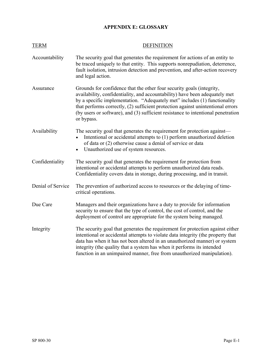# **APPENDIX E: GLOSSARY**

| <b>TERM</b>       | <b>DEFINITION</b>                                                                                                                                                                                                                                                                                                                                                                                                      |
|-------------------|------------------------------------------------------------------------------------------------------------------------------------------------------------------------------------------------------------------------------------------------------------------------------------------------------------------------------------------------------------------------------------------------------------------------|
| Accountability    | The security goal that generates the requirement for actions of an entity to<br>be traced uniquely to that entity. This supports nonrepudiation, deterrence,<br>fault isolation, intrusion detection and prevention, and after-action recovery<br>and legal action.                                                                                                                                                    |
| Assurance         | Grounds for confidence that the other four security goals (integrity,<br>availability, confidentiality, and accountability) have been adequately met<br>by a specific implementation. "Adequately met" includes (1) functionality<br>that performs correctly, (2) sufficient protection against unintentional errors<br>(by users or software), and (3) sufficient resistance to intentional penetration<br>or bypass. |
| Availability      | The security goal that generates the requirement for protection against—<br>Intentional or accidental attempts to (1) perform unauthorized deletion<br>of data or (2) otherwise cause a denial of service or data<br>Unauthorized use of system resources.<br>$\bullet$                                                                                                                                                |
| Confidentiality   | The security goal that generates the requirement for protection from<br>intentional or accidental attempts to perform unauthorized data reads.<br>Confidentiality covers data in storage, during processing, and in transit.                                                                                                                                                                                           |
| Denial of Service | The prevention of authorized access to resources or the delaying of time-<br>critical operations.                                                                                                                                                                                                                                                                                                                      |
| Due Care          | Managers and their organizations have a duty to provide for information<br>security to ensure that the type of control, the cost of control, and the<br>deployment of control are appropriate for the system being managed.                                                                                                                                                                                            |
| Integrity         | The security goal that generates the requirement for protection against either<br>intentional or accidental attempts to violate data integrity (the property that<br>data has when it has not been altered in an unauthorized manner) or system<br>integrity (the quality that a system has when it performs its intended<br>function in an unimpaired manner, free from unauthorized manipulation).                   |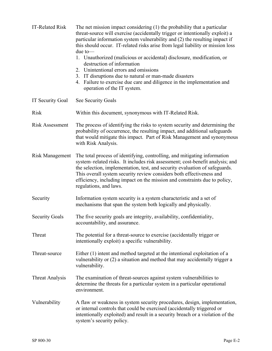| <b>IT-Related Risk</b> | The net mission impact considering $(1)$ the probability that a particular<br>threat-source will exercise (accidentally trigger or intentionally exploit) a<br>particular information system vulnerability and (2) the resulting impact if<br>this should occur. IT-related risks arise from legal liability or mission loss<br>due to—<br>1. Unauthorized (malicious or accidental) disclosure, modification, or<br>destruction of information<br>2. Unintentional errors and omissions<br>3. IT disruptions due to natural or man-made disasters<br>4. Failure to exercise due care and diligence in the implementation and<br>operation of the IT system. |
|------------------------|--------------------------------------------------------------------------------------------------------------------------------------------------------------------------------------------------------------------------------------------------------------------------------------------------------------------------------------------------------------------------------------------------------------------------------------------------------------------------------------------------------------------------------------------------------------------------------------------------------------------------------------------------------------|
| IT Security Goal       | See Security Goals                                                                                                                                                                                                                                                                                                                                                                                                                                                                                                                                                                                                                                           |
| <b>Risk</b>            | Within this document, synonymous with IT-Related Risk.                                                                                                                                                                                                                                                                                                                                                                                                                                                                                                                                                                                                       |
| <b>Risk Assessment</b> | The process of identifying the risks to system security and determining the<br>probability of occurrence, the resulting impact, and additional safeguards<br>that would mitigate this impact. Part of Risk Management and synonymous<br>with Risk Analysis.                                                                                                                                                                                                                                                                                                                                                                                                  |
| <b>Risk Management</b> | The total process of identifying, controlling, and mitigating information<br>system-related risks. It includes risk assessment; cost-benefit analysis; and<br>the selection, implementation, test, and security evaluation of safeguards.<br>This overall system security review considers both effectiveness and<br>efficiency, including impact on the mission and constraints due to policy,<br>regulations, and laws.                                                                                                                                                                                                                                    |
| Security               | Information system security is a system characteristic and a set of<br>mechanisms that span the system both logically and physically.                                                                                                                                                                                                                                                                                                                                                                                                                                                                                                                        |
| <b>Security Goals</b>  | The five security goals are integrity, availability, confidentiality,<br>accountability, and assurance.                                                                                                                                                                                                                                                                                                                                                                                                                                                                                                                                                      |
| Threat                 | The potential for a threat-source to exercise (accidentally trigger or<br>intentionally exploit) a specific vulnerability.                                                                                                                                                                                                                                                                                                                                                                                                                                                                                                                                   |
| Threat-source          | Either (1) intent and method targeted at the intentional exploitation of a<br>vulnerability or (2) a situation and method that may accidentally trigger a<br>vulnerability.                                                                                                                                                                                                                                                                                                                                                                                                                                                                                  |
| <b>Threat Analysis</b> | The examination of threat-sources against system vulnerabilities to<br>determine the threats for a particular system in a particular operational<br>environment.                                                                                                                                                                                                                                                                                                                                                                                                                                                                                             |
| Vulnerability          | A flaw or weakness in system security procedures, design, implementation,<br>or internal controls that could be exercised (accidentally triggered or<br>intentionally exploited) and result in a security breach or a violation of the<br>system's security policy.                                                                                                                                                                                                                                                                                                                                                                                          |